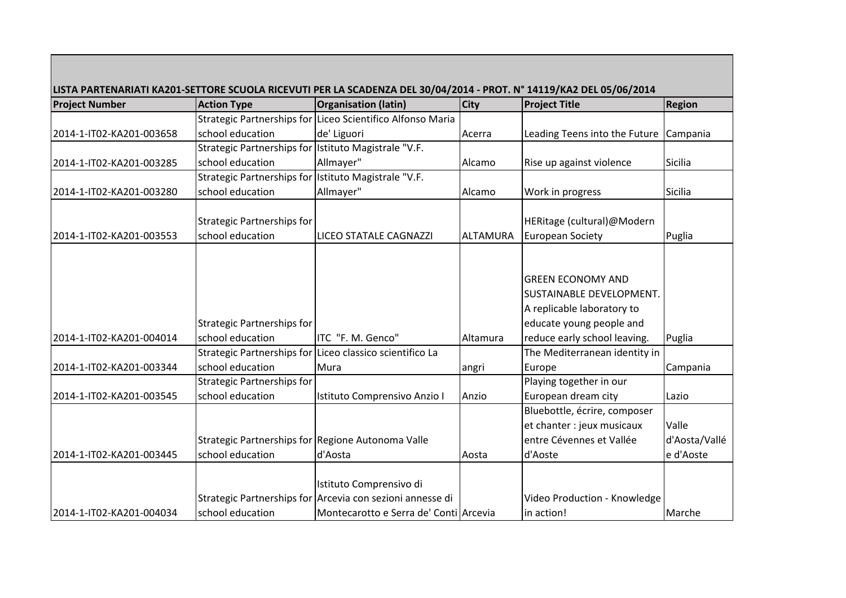|                          |                                                      | LISTA PARTENARIATI KA201-SETTORE SCUOLA RICEVUTI PER LA SCADENZA DEL 30/04/2014 - PROT. Nº 14119/KA2 DEL 05/06/2014 |             |                               |               |
|--------------------------|------------------------------------------------------|---------------------------------------------------------------------------------------------------------------------|-------------|-------------------------------|---------------|
| <b>Project Number</b>    | <b>Action Type</b>                                   | <b>Organisation (latin)</b>                                                                                         | <b>City</b> | <b>Project Title</b>          | <b>Region</b> |
|                          |                                                      | Strategic Partnerships for Liceo Scientifico Alfonso Maria                                                          |             |                               |               |
| 2014-1-IT02-KA201-003658 | school education                                     | de' Liguori                                                                                                         | Acerra      | Leading Teens into the Future | Campania      |
|                          | Strategic Partnerships for Istituto Magistrale "V.F. |                                                                                                                     |             |                               |               |
| 2014-1-IT02-KA201-003285 | school education                                     | Allmayer"                                                                                                           | Alcamo      | Rise up against violence      | Sicilia       |
|                          | Strategic Partnerships for Istituto Magistrale "V.F. |                                                                                                                     |             |                               |               |
| 2014-1-IT02-KA201-003280 | school education                                     | Allmayer"                                                                                                           | Alcamo      | Work in progress              | Sicilia       |
|                          |                                                      |                                                                                                                     |             |                               |               |
|                          | Strategic Partnerships for                           |                                                                                                                     |             | HERitage (cultural)@Modern    |               |
| 2014-1-IT02-KA201-003553 | school education                                     | LICEO STATALE CAGNAZZI                                                                                              | ALTAMURA    | <b>European Society</b>       | Puglia        |
|                          |                                                      |                                                                                                                     |             |                               |               |
|                          |                                                      |                                                                                                                     |             |                               |               |
|                          |                                                      |                                                                                                                     |             | <b>GREEN ECONOMY AND</b>      |               |
|                          |                                                      |                                                                                                                     |             | SUSTAINABLE DEVELOPMENT.      |               |
|                          |                                                      |                                                                                                                     |             | A replicable laboratory to    |               |
|                          | Strategic Partnerships for                           |                                                                                                                     |             | educate young people and      |               |
| 2014-1-IT02-KA201-004014 | school education                                     | ITC "F. M. Genco"                                                                                                   | Altamura    | reduce early school leaving.  | Puglia        |
|                          |                                                      | Strategic Partnerships for Liceo classico scientifico La                                                            |             | The Mediterranean identity in |               |
| 2014-1-IT02-KA201-003344 | school education                                     | Mura                                                                                                                | angri       | Europe                        | Campania      |
|                          | <b>Strategic Partnerships for</b>                    |                                                                                                                     |             | Playing together in our       |               |
| 2014-1-IT02-KA201-003545 | school education                                     | Istituto Comprensivo Anzio I                                                                                        | Anzio       | European dream city           | Lazio         |
|                          |                                                      |                                                                                                                     |             | Bluebottle, écrire, composer  |               |
|                          |                                                      |                                                                                                                     |             | et chanter : jeux musicaux    | Valle         |
|                          |                                                      | Strategic Partnerships for Regione Autonoma Valle                                                                   |             | entre Cévennes et Vallée      | d'Aosta/Vallé |
| 2014-1-IT02-KA201-003445 | school education                                     | d'Aosta                                                                                                             | Aosta       | d'Aoste                       | e d'Aoste     |
|                          |                                                      |                                                                                                                     |             |                               |               |
|                          |                                                      | Istituto Comprensivo di                                                                                             |             |                               |               |
|                          |                                                      | Strategic Partnerships for Arcevia con sezioni annesse di                                                           |             | Video Production - Knowledge  |               |
| 2014-1-IT02-KA201-004034 | school education                                     | Montecarotto e Serra de' Conti Arcevia                                                                              |             | in action!                    | Marche        |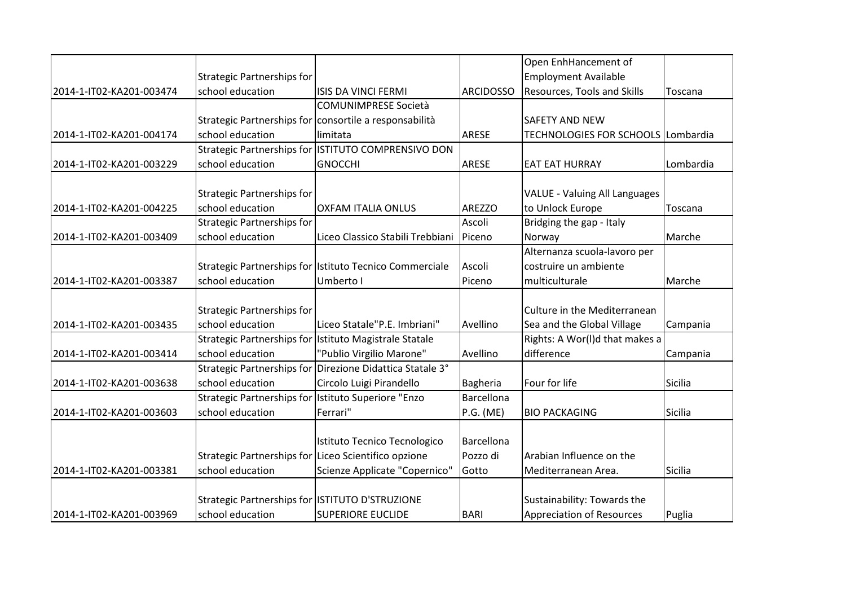|                          |                                                      |                                                           |                   | Open EnhHancement of                 |           |
|--------------------------|------------------------------------------------------|-----------------------------------------------------------|-------------------|--------------------------------------|-----------|
|                          | Strategic Partnerships for                           |                                                           |                   | <b>Employment Available</b>          |           |
| 2014-1-IT02-KA201-003474 | school education                                     | ISIS DA VINCI FERMI                                       | <b>ARCIDOSSO</b>  | Resources, Tools and Skills          | Toscana   |
|                          |                                                      | <b>COMUNIMPRESE Società</b>                               |                   |                                      |           |
|                          |                                                      | Strategic Partnerships for consortile a responsabilità    |                   | <b>SAFETY AND NEW</b>                |           |
| 2014-1-IT02-KA201-004174 | school education                                     | limitata                                                  | ARESE             | TECHNOLOGIES FOR SCHOOLS Lombardia   |           |
|                          |                                                      | Strategic Partnerships for ISTITUTO COMPRENSIVO DON       |                   |                                      |           |
| 2014-1-IT02-KA201-003229 | school education                                     | <b>GNOCCHI</b>                                            | ARESE             | <b>EAT EAT HURRAY</b>                | Lombardia |
|                          |                                                      |                                                           |                   |                                      |           |
|                          | Strategic Partnerships for                           |                                                           |                   | <b>VALUE - Valuing All Languages</b> |           |
| 2014-1-IT02-KA201-004225 | school education                                     | <b>OXFAM ITALIA ONLUS</b>                                 | <b>AREZZO</b>     | to Unlock Europe                     | Toscana   |
|                          | <b>Strategic Partnerships for</b>                    |                                                           | Ascoli            | Bridging the gap - Italy             |           |
| 2014-1-IT02-KA201-003409 | school education                                     | Liceo Classico Stabili Trebbiani                          | Piceno            | Norway                               | Marche    |
|                          |                                                      |                                                           |                   | Alternanza scuola-lavoro per         |           |
|                          |                                                      | Strategic Partnerships for Istituto Tecnico Commerciale   | Ascoli            | costruire un ambiente                |           |
| 2014-1-IT02-KA201-003387 | school education                                     | Umberto I                                                 | Piceno            | multiculturale                       | Marche    |
|                          |                                                      |                                                           |                   |                                      |           |
|                          | Strategic Partnerships for                           |                                                           |                   | Culture in the Mediterranean         |           |
| 2014-1-IT02-KA201-003435 | school education                                     | Liceo Statale"P.E. Imbriani"                              | Avellino          | Sea and the Global Village           | Campania  |
|                          |                                                      | Strategic Partnerships for Istituto Magistrale Statale    |                   | Rights: A Wor(I)d that makes a       |           |
| 2014-1-IT02-KA201-003414 | school education                                     | "Publio Virgilio Marone"                                  | Avellino          | difference                           | Campania  |
|                          |                                                      | Strategic Partnerships for Direzione Didattica Statale 3° |                   |                                      |           |
| 2014-1-IT02-KA201-003638 | school education                                     | Circolo Luigi Pirandello                                  | Bagheria          | Four for life                        | Sicilia   |
|                          | Strategic Partnerships for Istituto Superiore "Enzo  |                                                           | <b>Barcellona</b> |                                      |           |
| 2014-1-IT02-KA201-003603 | school education                                     | Ferrari"                                                  | P.G. (ME)         | <b>BIO PACKAGING</b>                 | Sicilia   |
|                          |                                                      |                                                           |                   |                                      |           |
|                          |                                                      | Istituto Tecnico Tecnologico                              | Barcellona        |                                      |           |
|                          | Strategic Partnerships for Liceo Scientifico opzione |                                                           | Pozzo di          | Arabian Influence on the             |           |
| 2014-1-IT02-KA201-003381 | school education                                     | Scienze Applicate "Copernico"                             | Gotto             | Mediterranean Area.                  | Sicilia   |
|                          |                                                      |                                                           |                   |                                      |           |
|                          | Strategic Partnerships for ISTITUTO D'STRUZIONE      |                                                           |                   | Sustainability: Towards the          |           |
| 2014-1-IT02-KA201-003969 | school education                                     | <b>SUPERIORE EUCLIDE</b>                                  | <b>BARI</b>       | Appreciation of Resources            | Puglia    |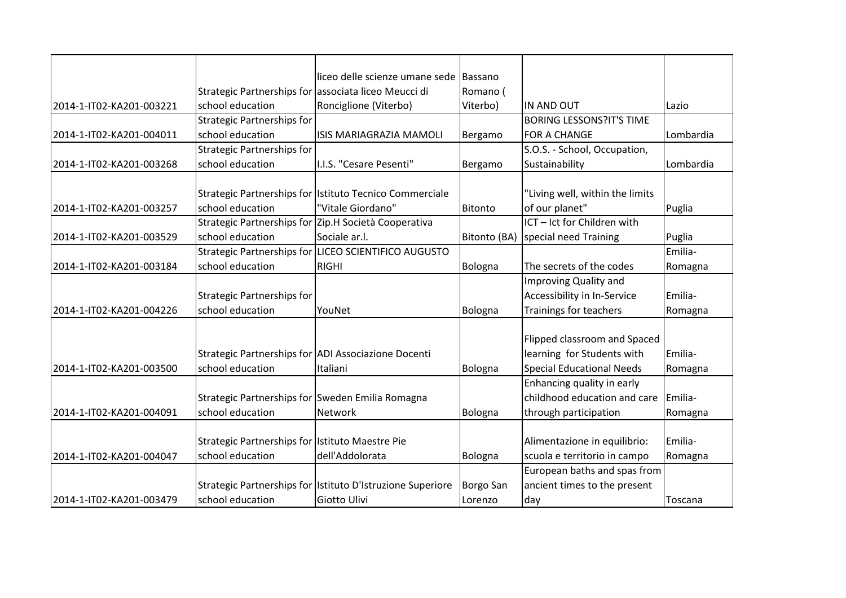|                          |                                                      | lliceo delle scienze umane sede                                              | Bassano      |                                                   |                   |
|--------------------------|------------------------------------------------------|------------------------------------------------------------------------------|--------------|---------------------------------------------------|-------------------|
|                          | Strategic Partnerships for associata liceo Meucci di |                                                                              | Romano (     |                                                   |                   |
| 2014-1-IT02-KA201-003221 | school education                                     | Ronciglione (Viterbo)                                                        | Viterbo)     | IN AND OUT                                        | Lazio             |
|                          | <b>Strategic Partnerships for</b>                    |                                                                              |              | <b>BORING LESSONS?IT'S TIME</b>                   |                   |
| 2014-1-IT02-KA201-004011 | school education                                     | <b>ISIS MARIAGRAZIA MAMOLI</b>                                               | Bergamo      | <b>FOR A CHANGE</b>                               | Lombardia         |
|                          | <b>Strategic Partnerships for</b>                    |                                                                              |              | S.O.S. - School, Occupation,                      |                   |
| 2014-1-IT02-KA201-003268 | school education                                     | I.I.S. "Cesare Pesenti"                                                      | Bergamo      | Sustainability                                    | Lombardia         |
|                          |                                                      |                                                                              |              |                                                   |                   |
| 2014-1-IT02-KA201-003257 | school education                                     | Strategic Partnerships for Istituto Tecnico Commerciale<br>"Vitale Giordano" | Bitonto      | "Living well, within the limits<br>of our planet" |                   |
|                          |                                                      | Strategic Partnerships for Zip.H Società Cooperativa                         |              | ICT - Ict for Children with                       | Puglia            |
|                          | school education                                     | Sociale ar.l.                                                                |              |                                                   |                   |
| 2014-1-IT02-KA201-003529 |                                                      |                                                                              | Bitonto (BA) | special need Training                             | Puglia<br>Emilia- |
|                          |                                                      | Strategic Partnerships for LICEO SCIENTIFICO AUGUSTO                         |              |                                                   |                   |
| 2014-1-IT02-KA201-003184 | school education                                     | <b>RIGHI</b>                                                                 | Bologna      | The secrets of the codes                          | Romagna           |
|                          |                                                      |                                                                              |              | Improving Quality and                             |                   |
|                          | Strategic Partnerships for                           |                                                                              |              | Accessibility in In-Service                       | Emilia-           |
| 2014-1-IT02-KA201-004226 | school education                                     | YouNet                                                                       | Bologna      | Trainings for teachers                            | Romagna           |
|                          |                                                      |                                                                              |              |                                                   |                   |
|                          |                                                      |                                                                              |              | Flipped classroom and Spaced                      |                   |
|                          |                                                      | Strategic Partnerships for ADI Associazione Docenti                          |              | learning for Students with                        | Emilia-           |
| 2014-1-IT02-KA201-003500 | school education                                     | Italiani                                                                     | Bologna      | <b>Special Educational Needs</b>                  | Romagna           |
|                          |                                                      |                                                                              |              | Enhancing quality in early                        |                   |
|                          | Strategic Partnerships for Sweden Emilia Romagna     |                                                                              |              | childhood education and care                      | Emilia-           |
| 2014-1-IT02-KA201-004091 | school education                                     | <b>Network</b>                                                               | Bologna      | through participation                             | Romagna           |
|                          |                                                      |                                                                              |              |                                                   |                   |
|                          | Strategic Partnerships for Istituto Maestre Pie      |                                                                              |              | Alimentazione in equilibrio:                      | Emilia-           |
| 2014-1-IT02-KA201-004047 | school education                                     | dell'Addolorata                                                              | Bologna      | scuola e territorio in campo                      | Romagna           |
|                          |                                                      |                                                                              |              | European baths and spas from                      |                   |
|                          |                                                      | Strategic Partnerships for Istituto D'Istruzione Superiore                   | Borgo San    | ancient times to the present                      |                   |
| 2014-1-IT02-KA201-003479 | school education                                     | Giotto Ulivi                                                                 | Lorenzo      | day                                               | Toscana           |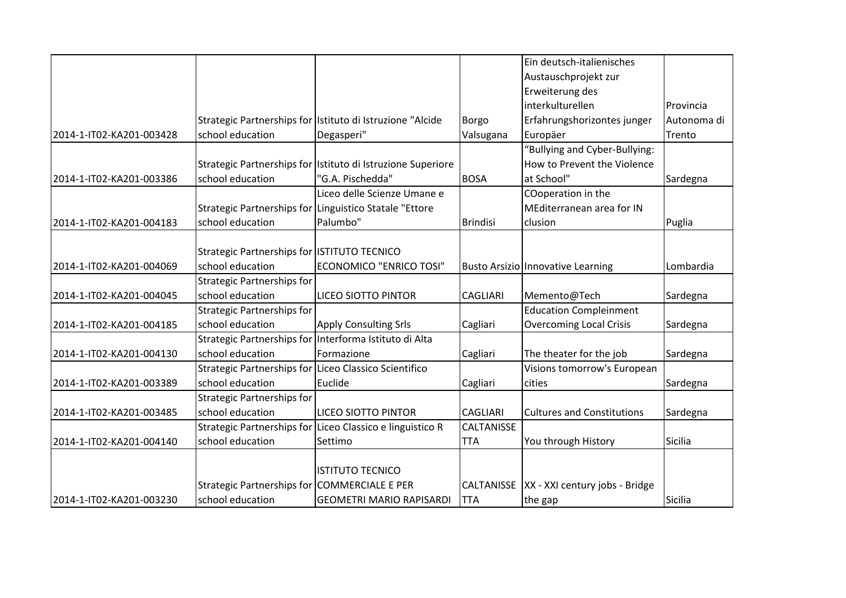|                          |                                                       |                                                             |                   | Ein deutsch-italienisches                |             |
|--------------------------|-------------------------------------------------------|-------------------------------------------------------------|-------------------|------------------------------------------|-------------|
|                          |                                                       |                                                             |                   | Austauschprojekt zur                     |             |
|                          |                                                       |                                                             |                   | Erweiterung des                          |             |
|                          |                                                       |                                                             |                   | interkulturellen                         | Provincia   |
|                          |                                                       | Strategic Partnerships for Istituto di Istruzione "Alcide   | Borgo             | Erfahrungshorizontes junger              | Autonoma di |
| 2014-1-IT02-KA201-003428 | school education                                      | Degasperi"                                                  | Valsugana         | Europäer                                 | Trento      |
|                          |                                                       |                                                             |                   | 'Bullying and Cyber-Bullying:            |             |
|                          |                                                       | Strategic Partnerships for Istituto di Istruzione Superiore |                   | How to Prevent the Violence              |             |
| 2014-1-IT02-KA201-003386 | school education                                      | "G.A. Pischedda"                                            | <b>BOSA</b>       | at School"                               | Sardegna    |
|                          |                                                       | Liceo delle Scienze Umane e                                 |                   | COoperation in the                       |             |
|                          |                                                       | Strategic Partnerships for Linguistico Statale "Ettore      |                   | MEditerranean area for IN                |             |
| 2014-1-IT02-KA201-004183 | school education                                      | Palumbo"                                                    | <b>Brindisi</b>   | clusion                                  | Puglia      |
|                          |                                                       |                                                             |                   |                                          |             |
|                          | Strategic Partnerships for ISTITUTO TECNICO           |                                                             |                   |                                          |             |
| 2014-1-IT02-KA201-004069 | school education                                      | <b>ECONOMICO "ENRICO TOSI"</b>                              |                   | <b>Busto Arsizio Innovative Learning</b> | Lombardia   |
|                          | <b>Strategic Partnerships for</b>                     |                                                             |                   |                                          |             |
| 2014-1-IT02-KA201-004045 | school education                                      | <b>LICEO SIOTTO PINTOR</b>                                  | <b>CAGLIARI</b>   | Memento@Tech                             | Sardegna    |
|                          | <b>Strategic Partnerships for</b>                     |                                                             |                   | <b>Education Compleinment</b>            |             |
| 2014-1-IT02-KA201-004185 | school education                                      | <b>Apply Consulting Srls</b>                                | Cagliari          | <b>Overcoming Local Crisis</b>           | Sardegna    |
|                          |                                                       | Strategic Partnerships for Interforma Istituto di Alta      |                   |                                          |             |
| 2014-1-IT02-KA201-004130 | school education                                      | Formazione                                                  | Cagliari          | The theater for the job                  | Sardegna    |
|                          | Strategic Partnerships for Liceo Classico Scientifico |                                                             |                   | Visions tomorrow's European              |             |
| 2014-1-IT02-KA201-003389 | school education                                      | Euclide                                                     | Cagliari          | cities                                   | Sardegna    |
|                          | <b>Strategic Partnerships for</b>                     |                                                             |                   |                                          |             |
| 2014-1-IT02-KA201-003485 | school education                                      | <b>LICEO SIOTTO PINTOR</b>                                  | <b>CAGLIARI</b>   | <b>Cultures and Constitutions</b>        | Sardegna    |
|                          |                                                       | Strategic Partnerships for Liceo Classico e linguistico R   | CALTANISSE        |                                          |             |
| 2014-1-IT02-KA201-004140 | school education                                      | Settimo                                                     | <b>TTA</b>        | You through History                      | Sicilia     |
|                          |                                                       |                                                             |                   |                                          |             |
|                          |                                                       | <b>ISTITUTO TECNICO</b>                                     |                   |                                          |             |
|                          | Strategic Partnerships for COMMERCIALE E PER          |                                                             | <b>CALTANISSE</b> | XX - XXI century jobs - Bridge           |             |
| 2014-1-IT02-KA201-003230 | school education                                      | <b>GEOMETRI MARIO RAPISARDI</b>                             | <b>ITTA</b>       | the gap                                  | Sicilia     |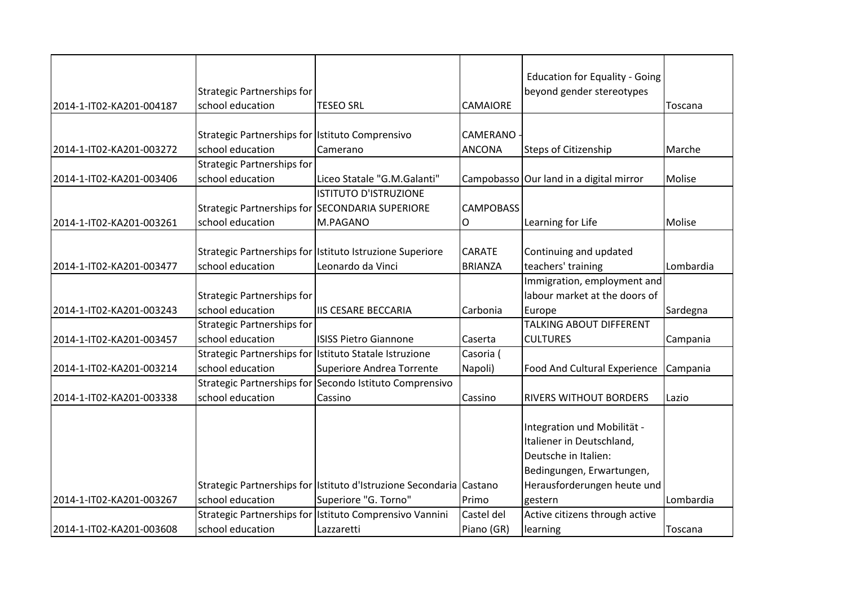|                          |                                                 |                                                                     |                  | <b>Education for Equality - Going</b>   |           |
|--------------------------|-------------------------------------------------|---------------------------------------------------------------------|------------------|-----------------------------------------|-----------|
|                          | Strategic Partnerships for                      |                                                                     |                  | beyond gender stereotypes               |           |
| 2014-1-IT02-KA201-004187 | school education                                | <b>TESEO SRL</b>                                                    | <b>CAMAIORE</b>  |                                         | Toscana   |
|                          |                                                 |                                                                     |                  |                                         |           |
|                          | Strategic Partnerships for Istituto Comprensivo |                                                                     | <b>CAMERANO</b>  |                                         |           |
| 2014-1-IT02-KA201-003272 | school education                                | Camerano                                                            | <b>ANCONA</b>    | <b>Steps of Citizenship</b>             | Marche    |
|                          | Strategic Partnerships for                      |                                                                     |                  |                                         |           |
| 2014-1-IT02-KA201-003406 | school education                                | Liceo Statale "G.M.Galanti"                                         |                  | Campobasso Our land in a digital mirror | Molise    |
|                          |                                                 | <b>ISTITUTO D'ISTRUZIONE</b>                                        |                  |                                         |           |
|                          |                                                 | Strategic Partnerships for SECONDARIA SUPERIORE                     | <b>CAMPOBASS</b> |                                         |           |
| 2014-1-IT02-KA201-003261 | school education                                | M.PAGANO                                                            | O                | Learning for Life                       | Molise    |
|                          |                                                 |                                                                     |                  |                                         |           |
|                          |                                                 | Strategic Partnerships for Istituto Istruzione Superiore            | <b>CARATE</b>    | Continuing and updated                  |           |
| 2014-1-IT02-KA201-003477 | school education                                | Leonardo da Vinci                                                   | <b>BRIANZA</b>   | teachers' training                      | Lombardia |
|                          |                                                 |                                                                     |                  | Immigration, employment and             |           |
|                          | <b>Strategic Partnerships for</b>               |                                                                     |                  | labour market at the doors of           |           |
| 2014-1-IT02-KA201-003243 | school education                                | <b>IIS CESARE BECCARIA</b>                                          | Carbonia         | Europe                                  | Sardegna  |
|                          | <b>Strategic Partnerships for</b>               |                                                                     |                  | <b>TALKING ABOUT DIFFERENT</b>          |           |
| 2014-1-IT02-KA201-003457 | school education                                | <b>ISISS Pietro Giannone</b>                                        | Caserta          | <b>CULTURES</b>                         | Campania  |
|                          |                                                 | Strategic Partnerships for Istituto Statale Istruzione              | Casoria (        |                                         |           |
| 2014-1-IT02-KA201-003214 | school education                                | Superiore Andrea Torrente                                           | Napoli)          | Food And Cultural Experience            | Campania  |
|                          |                                                 | Strategic Partnerships for Secondo Istituto Comprensivo             |                  |                                         |           |
| 2014-1-IT02-KA201-003338 | school education                                | Cassino                                                             | Cassino          | <b>RIVERS WITHOUT BORDERS</b>           | Lazio     |
|                          |                                                 |                                                                     |                  |                                         |           |
|                          |                                                 |                                                                     |                  | Integration und Mobilität -             |           |
|                          |                                                 |                                                                     |                  | Italiener in Deutschland,               |           |
|                          |                                                 |                                                                     |                  | Deutsche in Italien:                    |           |
|                          |                                                 |                                                                     |                  | Bedingungen, Erwartungen,               |           |
|                          |                                                 | Strategic Partnerships for Istituto d'Istruzione Secondaria Castano |                  | Herausforderungen heute und             |           |
| 2014-1-IT02-KA201-003267 | school education                                | Superiore "G. Torno"                                                | Primo            | gestern                                 | Lombardia |
|                          |                                                 | Strategic Partnerships for Istituto Comprensivo Vannini             | Castel del       | Active citizens through active          |           |
| 2014-1-IT02-KA201-003608 | school education                                | Lazzaretti                                                          | Piano (GR)       | learning                                | Toscana   |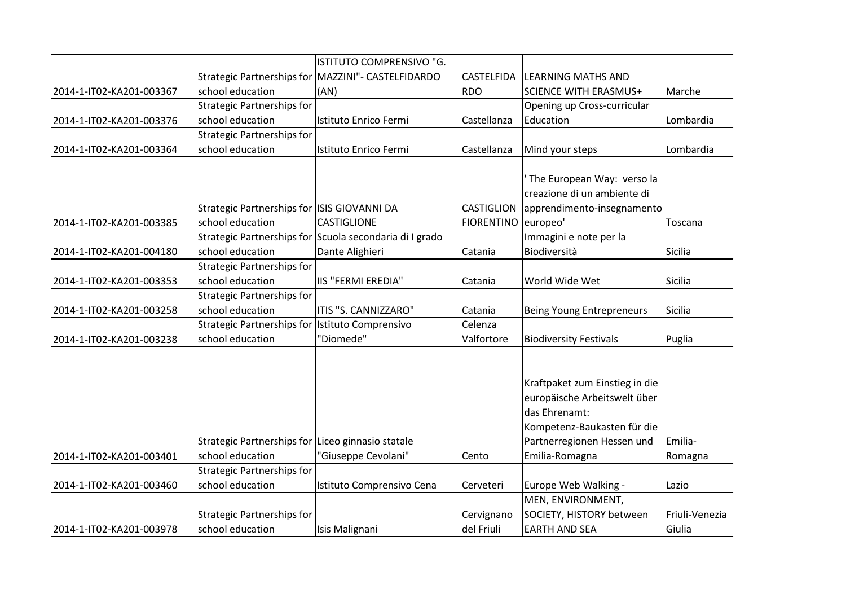|                          |                                                   | ISTITUTO COMPRENSIVO "G.                                |                   |                                  |                |
|--------------------------|---------------------------------------------------|---------------------------------------------------------|-------------------|----------------------------------|----------------|
|                          |                                                   | Strategic Partnerships for MAZZINI"- CASTELFIDARDO      | <b>CASTELFIDA</b> | <b>LEARNING MATHS AND</b>        |                |
| 2014-1-IT02-KA201-003367 | school education                                  | (AN)                                                    | <b>RDO</b>        | <b>SCIENCE WITH ERASMUS+</b>     | Marche         |
|                          | <b>Strategic Partnerships for</b>                 |                                                         |                   | Opening up Cross-curricular      |                |
| 2014-1-IT02-KA201-003376 | school education                                  | Istituto Enrico Fermi                                   | Castellanza       | Education                        | Lombardia      |
|                          | <b>Strategic Partnerships for</b>                 |                                                         |                   |                                  |                |
| 2014-1-IT02-KA201-003364 | school education                                  | Istituto Enrico Fermi                                   | Castellanza       | Mind your steps                  | Lombardia      |
|                          |                                                   |                                                         |                   |                                  |                |
|                          |                                                   |                                                         |                   | The European Way: verso la       |                |
|                          |                                                   |                                                         |                   | creazione di un ambiente di      |                |
|                          | Strategic Partnerships for ISIS GIOVANNI DA       |                                                         | <b>CASTIGLION</b> | apprendimento-insegnamento       |                |
| 2014-1-IT02-KA201-003385 | school education                                  | <b>CASTIGLIONE</b>                                      | <b>FIORENTINO</b> | europeo'                         | Toscana        |
|                          |                                                   | Strategic Partnerships for Scuola secondaria di I grado |                   | Immagini e note per la           |                |
| 2014-1-IT02-KA201-004180 | school education                                  | Dante Alighieri                                         | Catania           | Biodiversità                     | Sicilia        |
|                          | <b>Strategic Partnerships for</b>                 |                                                         |                   |                                  |                |
| 2014-1-IT02-KA201-003353 | school education                                  | <b>IIS "FERMI EREDIA"</b>                               | Catania           | World Wide Wet                   | Sicilia        |
|                          | <b>Strategic Partnerships for</b>                 |                                                         |                   |                                  |                |
| 2014-1-IT02-KA201-003258 | school education                                  | ITIS "S. CANNIZZARO"                                    | Catania           | <b>Being Young Entrepreneurs</b> | Sicilia        |
|                          | Strategic Partnerships for Istituto Comprensivo   |                                                         | Celenza           |                                  |                |
| 2014-1-IT02-KA201-003238 | school education                                  | "Diomede"                                               | Valfortore        | <b>Biodiversity Festivals</b>    | Puglia         |
|                          |                                                   |                                                         |                   |                                  |                |
|                          |                                                   |                                                         |                   | Kraftpaket zum Einstieg in die   |                |
|                          |                                                   |                                                         |                   | europäische Arbeitswelt über     |                |
|                          |                                                   |                                                         |                   | das Ehrenamt:                    |                |
|                          |                                                   |                                                         |                   | Kompetenz-Baukasten für die      |                |
|                          | Strategic Partnerships for Liceo ginnasio statale |                                                         |                   | Partnerregionen Hessen und       | Emilia-        |
| 2014-1-IT02-KA201-003401 | school education                                  | 'Giuseppe Cevolani"                                     | Cento             | Emilia-Romagna                   | Romagna        |
|                          | <b>Strategic Partnerships for</b>                 |                                                         |                   |                                  |                |
| 2014-1-IT02-KA201-003460 | school education                                  | Istituto Comprensivo Cena                               | Cerveteri         | Europe Web Walking -             | Lazio          |
|                          |                                                   |                                                         |                   | MEN, ENVIRONMENT,                |                |
|                          | Strategic Partnerships for                        |                                                         | Cervignano        | SOCIETY, HISTORY between         | Friuli-Venezia |
| 2014-1-IT02-KA201-003978 | school education                                  | Isis Malignani                                          | del Friuli        | <b>EARTH AND SEA</b>             | Giulia         |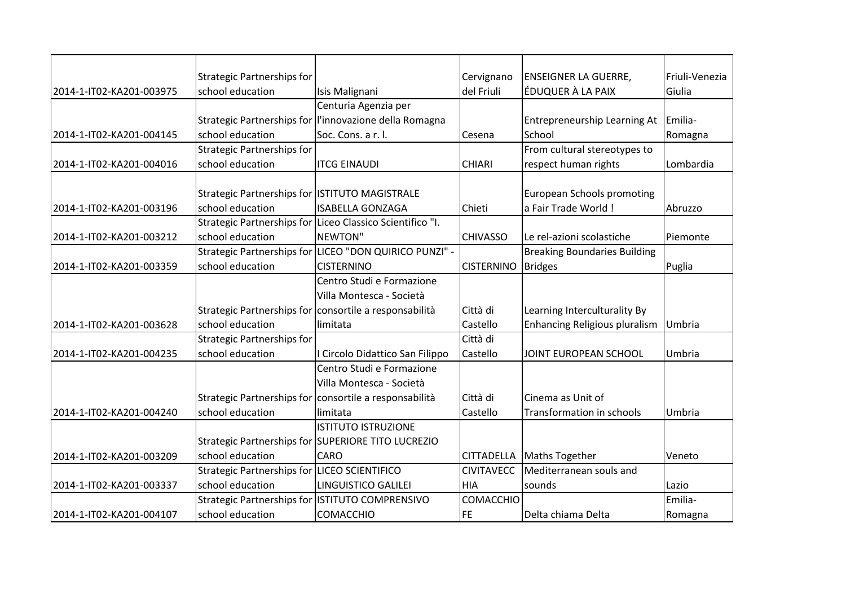|                          | Strategic Partnerships for                      |                                                           | Cervignano        | <b>ENSEIGNER LA GUERRE,</b>          | Friuli-Venezia |
|--------------------------|-------------------------------------------------|-----------------------------------------------------------|-------------------|--------------------------------------|----------------|
| 2014-1-IT02-KA201-003975 | school education                                | Isis Malignani                                            | del Friuli        | ÉDUQUER À LA PAIX                    | Giulia         |
|                          |                                                 | Centuria Agenzia per                                      |                   |                                      |                |
|                          |                                                 | Strategic Partnerships for l'innovazione della Romagna    |                   | Entrepreneurship Learning At         | Emilia-        |
| 2014-1-IT02-KA201-004145 | school education                                | Soc. Cons. a r. l.                                        | Cesena            | School                               | Romagna        |
|                          | <b>Strategic Partnerships for</b>               |                                                           |                   | From cultural stereotypes to         |                |
| 2014-1-IT02-KA201-004016 | school education                                | <b>ITCG EINAUDI</b>                                       | <b>CHIARI</b>     | respect human rights                 | Lombardia      |
|                          |                                                 |                                                           |                   |                                      |                |
|                          | Strategic Partnerships for ISTITUTO MAGISTRALE  |                                                           |                   | <b>European Schools promoting</b>    |                |
| 2014-1-IT02-KA201-003196 | school education                                | <b>ISABELLA GONZAGA</b>                                   | Chieti            | a Fair Trade World !                 | Abruzzo        |
|                          |                                                 | Strategic Partnerships for Liceo Classico Scientifico "I. |                   |                                      |                |
| 2014-1-IT02-KA201-003212 | school education                                | NEWTON"                                                   | <b>CHIVASSO</b>   | Le rel-azioni scolastiche            | Piemonte       |
|                          |                                                 | Strategic Partnerships for LICEO "DON QUIRICO PUNZI" -    |                   | <b>Breaking Boundaries Building</b>  |                |
| 2014-1-IT02-KA201-003359 | school education                                | <b>CISTERNINO</b>                                         | <b>CISTERNINO</b> | <b>Bridges</b>                       | Puglia         |
|                          |                                                 | Centro Studi e Formazione                                 |                   |                                      |                |
|                          |                                                 | Villa Montesca - Società                                  |                   |                                      |                |
|                          |                                                 | Strategic Partnerships for consortile a responsabilità    | Città di          | Learning Interculturality By         |                |
| 2014-1-IT02-KA201-003628 | school education                                | limitata                                                  | Castello          | <b>Enhancing Religious pluralism</b> | Umbria         |
|                          | <b>Strategic Partnerships for</b>               |                                                           | Città di          |                                      |                |
| 2014-1-IT02-KA201-004235 | school education                                | I Circolo Didattico San Filippo                           | Castello          | JOINT EUROPEAN SCHOOL                | Umbria         |
|                          |                                                 | Centro Studi e Formazione                                 |                   |                                      |                |
|                          |                                                 | Villa Montesca - Società                                  |                   |                                      |                |
|                          |                                                 | Strategic Partnerships for consortile a responsabilità    | Città di          | Cinema as Unit of                    |                |
| 2014-1-IT02-KA201-004240 | school education                                | limitata                                                  | Castello          | Transformation in schools            | Umbria         |
|                          |                                                 | <b>ISTITUTO ISTRUZIONE</b>                                |                   |                                      |                |
|                          |                                                 | Strategic Partnerships for SUPERIORE TITO LUCREZIO        |                   |                                      |                |
| 2014-1-IT02-KA201-003209 | school education                                | <b>CARO</b>                                               | <b>CITTADELLA</b> | <b>Maths Together</b>                | Veneto         |
|                          | Strategic Partnerships for LICEO SCIENTIFICO    |                                                           | <b>CIVITAVECC</b> | Mediterranean souls and              |                |
| 2014-1-IT02-KA201-003337 | school education                                | LINGUISTICO GALILEI                                       | <b>HIA</b>        | sounds                               | Lazio          |
|                          | Strategic Partnerships for ISTITUTO COMPRENSIVO |                                                           | COMACCHIO         |                                      | Emilia-        |
| 2014-1-IT02-KA201-004107 | school education                                | <b>COMACCHIO</b>                                          | FE                | Delta chiama Delta                   | Romagna        |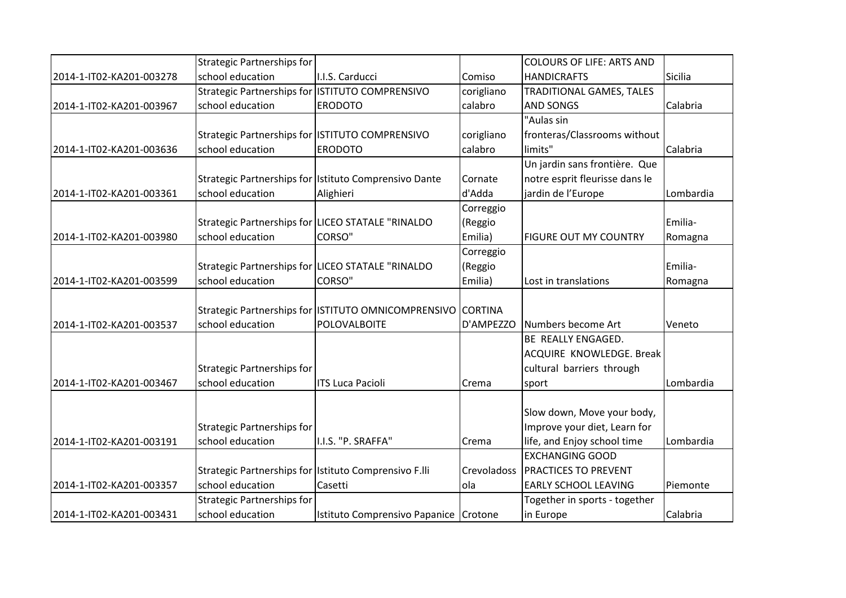|                          | <b>Strategic Partnerships for</b>                     |                                                             |             | <b>COLOURS OF LIFE: ARTS AND</b> |           |
|--------------------------|-------------------------------------------------------|-------------------------------------------------------------|-------------|----------------------------------|-----------|
| 2014-1-IT02-KA201-003278 | school education                                      | I.I.S. Carducci                                             | Comiso      | <b>HANDICRAFTS</b>               | Sicilia   |
|                          | Strategic Partnerships for ISTITUTO COMPRENSIVO       |                                                             | corigliano  | <b>TRADITIONAL GAMES, TALES</b>  |           |
| 2014-1-IT02-KA201-003967 | school education                                      | <b>ERODOTO</b>                                              | calabro     | <b>AND SONGS</b>                 | Calabria  |
|                          |                                                       |                                                             |             | "Aulas sin                       |           |
|                          | Strategic Partnerships for ISTITUTO COMPRENSIVO       |                                                             | corigliano  | fronteras/Classrooms without     |           |
| 2014-1-IT02-KA201-003636 | school education                                      | <b>ERODOTO</b>                                              | calabro     | limits"                          | Calabria  |
|                          |                                                       |                                                             |             | Un jardin sans frontière. Que    |           |
|                          |                                                       | Strategic Partnerships for Istituto Comprensivo Dante       | Cornate     | notre esprit fleurisse dans le   |           |
| 2014-1-IT02-KA201-003361 | school education                                      | Alighieri                                                   | d'Adda      | jardin de l'Europe               | Lombardia |
|                          |                                                       |                                                             | Correggio   |                                  |           |
|                          |                                                       | Strategic Partnerships for LICEO STATALE "RINALDO           | (Reggio     |                                  | Emilia-   |
| 2014-1-IT02-KA201-003980 | school education                                      | <b>CORSO"</b>                                               | Emilia)     | <b>FIGURE OUT MY COUNTRY</b>     | Romagna   |
|                          |                                                       |                                                             | Correggio   |                                  |           |
|                          |                                                       | Strategic Partnerships for LICEO STATALE "RINALDO           | (Reggio     |                                  | Emilia-   |
| 2014-1-IT02-KA201-003599 | school education                                      | <b>CORSO"</b>                                               | Emilia)     | Lost in translations             | Romagna   |
|                          |                                                       |                                                             |             |                                  |           |
|                          |                                                       | Strategic Partnerships for ISTITUTO OMNICOMPRENSIVO CORTINA |             |                                  |           |
| 2014-1-IT02-KA201-003537 | school education                                      | POLOVALBOITE                                                | D'AMPEZZO   | Numbers become Art               | Veneto    |
|                          |                                                       |                                                             |             | BE REALLY ENGAGED.               |           |
|                          |                                                       |                                                             |             | ACQUIRE KNOWLEDGE. Break         |           |
|                          | Strategic Partnerships for                            |                                                             |             | cultural barriers through        |           |
| 2014-1-IT02-KA201-003467 | school education                                      | <b>ITS Luca Pacioli</b>                                     | Crema       | sport                            | Lombardia |
|                          |                                                       |                                                             |             |                                  |           |
|                          |                                                       |                                                             |             | Slow down, Move your body,       |           |
|                          | Strategic Partnerships for                            |                                                             |             | Improve your diet, Learn for     |           |
| 2014-1-IT02-KA201-003191 | school education                                      | I.I.S. "P. SRAFFA"                                          | Crema       | life, and Enjoy school time      | Lombardia |
|                          |                                                       |                                                             |             | <b>EXCHANGING GOOD</b>           |           |
|                          | Strategic Partnerships for Istituto Comprensivo F.lli |                                                             | Crevoladoss | <b>PRACTICES TO PREVENT</b>      |           |
| 2014-1-IT02-KA201-003357 | school education                                      | Casetti                                                     | ola         | <b>EARLY SCHOOL LEAVING</b>      | Piemonte  |
|                          | <b>Strategic Partnerships for</b>                     |                                                             |             | Together in sports - together    |           |
| 2014-1-IT02-KA201-003431 | school education                                      | Istituto Comprensivo Papanice Crotone                       |             | in Europe                        | Calabria  |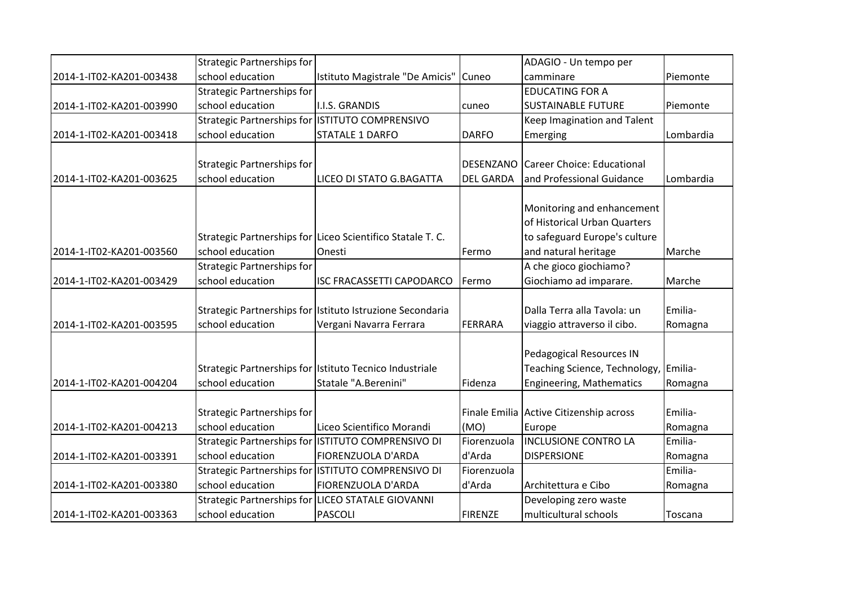|                          | <b>Strategic Partnerships for</b>               |                                                            |                  | ADAGIO - Un tempo per                   |           |
|--------------------------|-------------------------------------------------|------------------------------------------------------------|------------------|-----------------------------------------|-----------|
| 2014-1-IT02-KA201-003438 | school education                                | Istituto Magistrale "De Amicis"                            | Cuneo            | camminare                               | Piemonte  |
|                          | <b>Strategic Partnerships for</b>               |                                                            |                  | <b>EDUCATING FOR A</b>                  |           |
| 2014-1-IT02-KA201-003990 | school education                                | <b>I.I.S. GRANDIS</b>                                      | cuneo            | <b>SUSTAINABLE FUTURE</b>               | Piemonte  |
|                          | Strategic Partnerships for ISTITUTO COMPRENSIVO |                                                            |                  | Keep Imagination and Talent             |           |
| 2014-1-IT02-KA201-003418 | school education                                | <b>STATALE 1 DARFO</b>                                     | <b>DARFO</b>     | Emerging                                | Lombardia |
|                          |                                                 |                                                            | DESENZANO        | Career Choice: Educational              |           |
|                          | Strategic Partnerships for                      |                                                            |                  |                                         |           |
| 2014-1-IT02-KA201-003625 | school education                                | LICEO DI STATO G.BAGATTA                                   | <b>DEL GARDA</b> | and Professional Guidance               | Lombardia |
|                          |                                                 |                                                            |                  | Monitoring and enhancement              |           |
|                          |                                                 |                                                            |                  | of Historical Urban Quarters            |           |
|                          |                                                 | Strategic Partnerships for Liceo Scientifico Statale T. C. |                  | to safeguard Europe's culture           |           |
| 2014-1-IT02-KA201-003560 | school education                                | Onesti                                                     | Fermo            | and natural heritage                    | Marche    |
|                          | <b>Strategic Partnerships for</b>               |                                                            |                  | A che gioco giochiamo?                  |           |
| 2014-1-IT02-KA201-003429 | school education                                | <b>ISC FRACASSETTI CAPODARCO</b>                           | Fermo            | Giochiamo ad imparare.                  | Marche    |
|                          |                                                 |                                                            |                  |                                         |           |
|                          |                                                 | Strategic Partnerships for Istituto Istruzione Secondaria  |                  | Dalla Terra alla Tavola: un             | Emilia-   |
| 2014-1-IT02-KA201-003595 | school education                                | Vergani Navarra Ferrara                                    | <b>FERRARA</b>   | viaggio attraverso il cibo.             | Romagna   |
|                          |                                                 |                                                            |                  |                                         |           |
|                          |                                                 |                                                            |                  | Pedagogical Resources IN                |           |
|                          |                                                 | Strategic Partnerships for Istituto Tecnico Industriale    |                  | Teaching Science, Technology, Emilia-   |           |
| 2014-1-IT02-KA201-004204 | school education                                | Statale "A.Berenini"                                       | Fidenza          | <b>Engineering, Mathematics</b>         | Romagna   |
|                          |                                                 |                                                            |                  |                                         |           |
|                          | Strategic Partnerships for                      |                                                            |                  | Finale Emilia Active Citizenship across | Emilia-   |
| 2014-1-IT02-KA201-004213 | school education                                | Liceo Scientifico Morandi                                  | (MO)             | Europe                                  | Romagna   |
|                          |                                                 | Strategic Partnerships for ISTITUTO COMPRENSIVO DI         | Fiorenzuola      | <b>INCLUSIONE CONTRO LA</b>             | Emilia-   |
| 2014-1-IT02-KA201-003391 | school education                                | FIORENZUOLA D'ARDA                                         | d'Arda           | <b>DISPERSIONE</b>                      | Romagna   |
|                          |                                                 | Strategic Partnerships for ISTITUTO COMPRENSIVO DI         | Fiorenzuola      |                                         | Emilia-   |
| 2014-1-IT02-KA201-003380 | school education                                | <b>FIORENZUOLA D'ARDA</b>                                  | d'Arda           | Architettura e Cibo                     | Romagna   |
|                          | <b>Strategic Partnerships for</b>               | <b>LICEO STATALE GIOVANNI</b>                              |                  | Developing zero waste                   |           |
| 2014-1-IT02-KA201-003363 | school education                                | <b>PASCOLI</b>                                             | <b>FIRENZE</b>   | multicultural schools                   | Toscana   |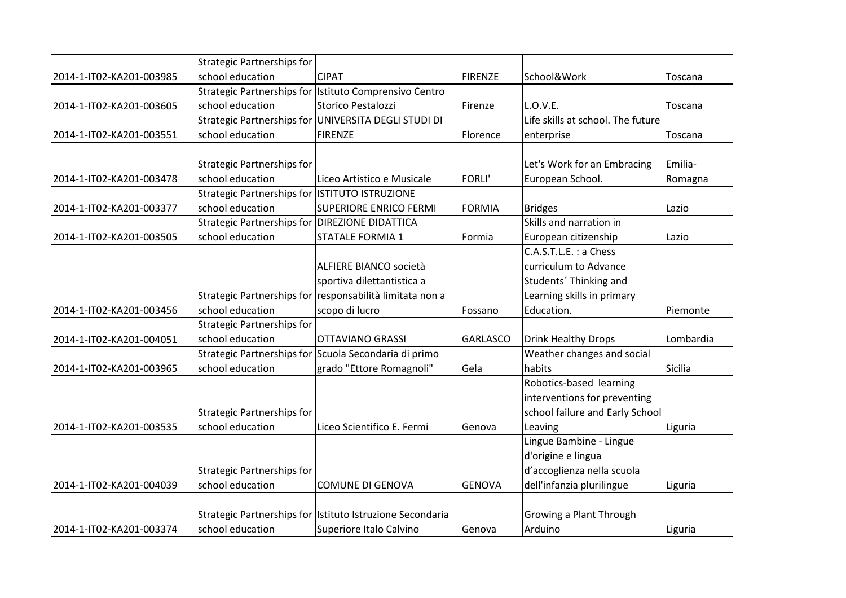|                          | <b>Strategic Partnerships for</b>              |                                                           |                 |                                   |           |
|--------------------------|------------------------------------------------|-----------------------------------------------------------|-----------------|-----------------------------------|-----------|
| 2014-1-IT02-KA201-003985 | school education                               | <b>CIPAT</b>                                              | <b>FIRENZE</b>  | School&Work                       | Toscana   |
|                          |                                                | Strategic Partnerships for Istituto Comprensivo Centro    |                 |                                   |           |
| 2014-1-IT02-KA201-003605 | school education                               | Storico Pestalozzi                                        | Firenze         | L.O.V.E.                          | Toscana   |
|                          |                                                | Strategic Partnerships for UNIVERSITA DEGLI STUDI DI      |                 | Life skills at school. The future |           |
| 2014-1-IT02-KA201-003551 | school education                               | <b>FIRENZE</b>                                            | Florence        | enterprise                        | Toscana   |
|                          |                                                |                                                           |                 |                                   |           |
|                          | <b>Strategic Partnerships for</b>              |                                                           |                 | Let's Work for an Embracing       | Emilia-   |
| 2014-1-IT02-KA201-003478 | school education                               | Liceo Artistico e Musicale                                | <b>FORLI'</b>   | European School.                  | Romagna   |
|                          | Strategic Partnerships for ISTITUTO ISTRUZIONE |                                                           |                 |                                   |           |
| 2014-1-IT02-KA201-003377 | school education                               | <b>SUPERIORE ENRICO FERMI</b>                             | <b>FORMIA</b>   | <b>Bridges</b>                    | Lazio     |
|                          | Strategic Partnerships for DIREZIONE DIDATTICA |                                                           |                 | Skills and narration in           |           |
| 2014-1-IT02-KA201-003505 | school education                               | <b>STATALE FORMIA 1</b>                                   | Formia          | European citizenship              | Lazio     |
|                          |                                                |                                                           |                 | C.A.S.T.L.E.: a Chess             |           |
|                          |                                                | ALFIERE BIANCO società                                    |                 | curriculum to Advance             |           |
|                          |                                                | sportiva dilettantistica a                                |                 | Students' Thinking and            |           |
|                          |                                                | Strategic Partnerships for responsabilità limitata non a  |                 | Learning skills in primary        |           |
| 2014-1-IT02-KA201-003456 | school education                               | scopo di lucro                                            | Fossano         | Education.                        | Piemonte  |
|                          | <b>Strategic Partnerships for</b>              |                                                           |                 |                                   |           |
| 2014-1-IT02-KA201-004051 | school education                               | <b>OTTAVIANO GRASSI</b>                                   | <b>GARLASCO</b> | <b>Drink Healthy Drops</b>        | Lombardia |
|                          |                                                | Strategic Partnerships for Scuola Secondaria di primo     |                 | Weather changes and social        |           |
| 2014-1-IT02-KA201-003965 | school education                               | grado "Ettore Romagnoli"                                  | Gela            | habits                            | Sicilia   |
|                          |                                                |                                                           |                 | Robotics-based learning           |           |
|                          |                                                |                                                           |                 | interventions for preventing      |           |
|                          | <b>Strategic Partnerships for</b>              |                                                           |                 | school failure and Early School   |           |
| 2014-1-IT02-KA201-003535 | school education                               | Liceo Scientifico E. Fermi                                | Genova          | Leaving                           | Liguria   |
|                          |                                                |                                                           |                 | Lingue Bambine - Lingue           |           |
|                          |                                                |                                                           |                 | d'origine e lingua                |           |
|                          | <b>Strategic Partnerships for</b>              |                                                           |                 | d'accoglienza nella scuola        |           |
| 2014-1-IT02-KA201-004039 | school education                               | <b>COMUNE DI GENOVA</b>                                   | <b>GENOVA</b>   | dell'infanzia plurilingue         | Liguria   |
|                          |                                                |                                                           |                 |                                   |           |
|                          |                                                | Strategic Partnerships for Istituto Istruzione Secondaria |                 | Growing a Plant Through           |           |
| 2014-1-IT02-KA201-003374 | school education                               | Superiore Italo Calvino                                   | Genova          | Arduino                           | Liguria   |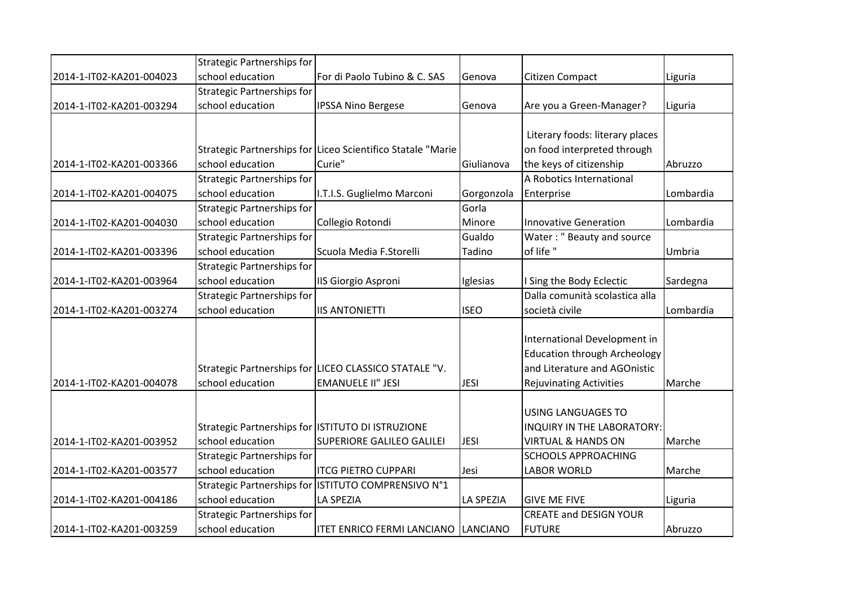|                          | <b>Strategic Partnerships for</b>                 |                                                             |                  |                                     |           |
|--------------------------|---------------------------------------------------|-------------------------------------------------------------|------------------|-------------------------------------|-----------|
| 2014-1-IT02-KA201-004023 | school education                                  | For di Paolo Tubino & C. SAS                                | Genova           | Citizen Compact                     | Liguria   |
|                          | <b>Strategic Partnerships for</b>                 |                                                             |                  |                                     |           |
| 2014-1-IT02-KA201-003294 | school education                                  | <b>IPSSA Nino Bergese</b>                                   | Genova           | Are you a Green-Manager?            | Liguria   |
|                          |                                                   |                                                             |                  |                                     |           |
|                          |                                                   |                                                             |                  | Literary foods: literary places     |           |
|                          |                                                   | Strategic Partnerships for Liceo Scientifico Statale "Marie |                  | on food interpreted through         |           |
| 2014-1-IT02-KA201-003366 | school education                                  | Curie"                                                      | Giulianova       | the keys of citizenship             | Abruzzo   |
|                          | <b>Strategic Partnerships for</b>                 |                                                             |                  | A Robotics International            |           |
| 2014-1-IT02-KA201-004075 | school education                                  | I.T.I.S. Guglielmo Marconi                                  | Gorgonzola       | Enterprise                          | Lombardia |
|                          | <b>Strategic Partnerships for</b>                 |                                                             | Gorla            |                                     |           |
| 2014-1-IT02-KA201-004030 | school education                                  | Collegio Rotondi                                            | Minore           | <b>Innovative Generation</b>        | Lombardia |
|                          | <b>Strategic Partnerships for</b>                 |                                                             | Gualdo           | Water: " Beauty and source          |           |
| 2014-1-IT02-KA201-003396 | school education                                  | Scuola Media F.Storelli                                     | Tadino           | of life"                            | Umbria    |
|                          | <b>Strategic Partnerships for</b>                 |                                                             |                  |                                     |           |
| 2014-1-IT02-KA201-003964 | school education                                  | IIS Giorgio Asproni                                         | Iglesias         | I Sing the Body Eclectic            | Sardegna  |
|                          | <b>Strategic Partnerships for</b>                 |                                                             |                  | Dalla comunità scolastica alla      |           |
| 2014-1-IT02-KA201-003274 | school education                                  | <b>IIS ANTONIETTI</b>                                       | <b>ISEO</b>      | società civile                      | Lombardia |
|                          |                                                   |                                                             |                  |                                     |           |
|                          |                                                   |                                                             |                  | International Development in        |           |
|                          |                                                   |                                                             |                  | <b>Education through Archeology</b> |           |
|                          |                                                   | Strategic Partnerships for LICEO CLASSICO STATALE "V.       |                  | and Literature and AGOnistic        |           |
| 2014-1-IT02-KA201-004078 | school education                                  | <b>EMANUELE II" JESI</b>                                    | <b>JESI</b>      | <b>Rejuvinating Activities</b>      | Marche    |
|                          |                                                   |                                                             |                  |                                     |           |
|                          |                                                   |                                                             |                  | USING LANGUAGES TO                  |           |
|                          | Strategic Partnerships for ISTITUTO DI ISTRUZIONE |                                                             |                  | INQUIRY IN THE LABORATORY:          |           |
| 2014-1-IT02-KA201-003952 | school education                                  | <b>SUPERIORE GALILEO GALILEI</b>                            | <b>JESI</b>      | <b>VIRTUAL &amp; HANDS ON</b>       | Marche    |
|                          | <b>Strategic Partnerships for</b>                 |                                                             |                  | <b>SCHOOLS APPROACHING</b>          |           |
| 2014-1-IT02-KA201-003577 | school education                                  | <b>ITCG PIETRO CUPPARI</b>                                  | Jesi             | <b>LABOR WORLD</b>                  | Marche    |
|                          |                                                   | Strategic Partnerships for ISTITUTO COMPRENSIVO N°1         |                  |                                     |           |
| 2014-1-IT02-KA201-004186 | school education                                  | <b>LA SPEZIA</b>                                            | <b>LA SPEZIA</b> | <b>GIVE ME FIVE</b>                 | Liguria   |
|                          | <b>Strategic Partnerships for</b>                 |                                                             |                  | <b>CREATE and DESIGN YOUR</b>       |           |
| 2014-1-IT02-KA201-003259 | school education                                  | <b>ITET ENRICO FERMI LANCIANO</b>                           | <b>LANCIANO</b>  | <b>FUTURE</b>                       | Abruzzo   |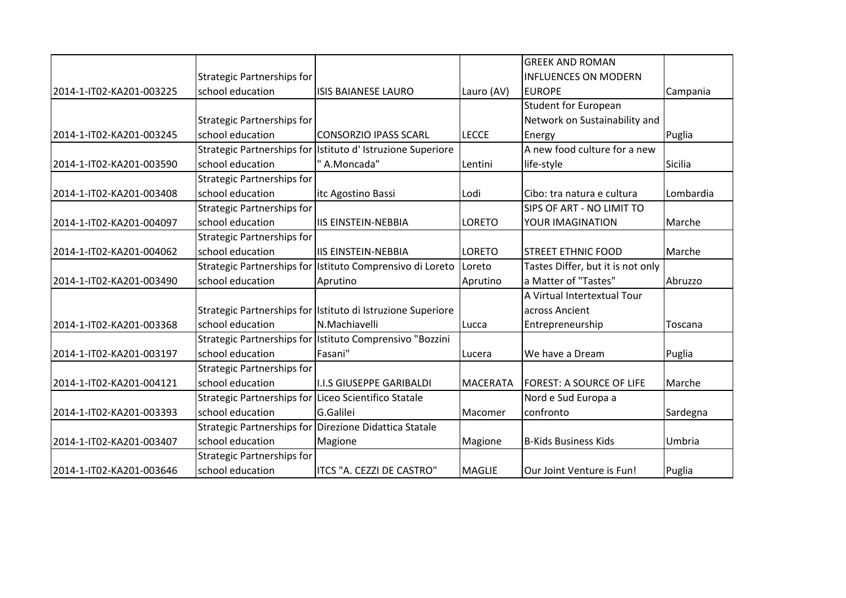|                          |                                                      |                                                             |                 | <b>GREEK AND ROMAN</b>            |           |
|--------------------------|------------------------------------------------------|-------------------------------------------------------------|-----------------|-----------------------------------|-----------|
|                          | Strategic Partnerships for                           |                                                             |                 | <b>INFLUENCES ON MODERN</b>       |           |
| 2014-1-IT02-KA201-003225 | school education                                     | <b>ISIS BAIANESE LAURO</b>                                  | Lauro (AV)      | <b>EUROPE</b>                     | Campania  |
|                          |                                                      |                                                             |                 | <b>Student for European</b>       |           |
|                          | <b>Strategic Partnerships for</b>                    |                                                             |                 | Network on Sustainability and     |           |
| 2014-1-IT02-KA201-003245 | school education                                     | <b>CONSORZIO IPASS SCARL</b>                                | <b>LECCE</b>    | Energy                            | Puglia    |
|                          |                                                      | Strategic Partnerships for Istituto d'Istruzione Superiore  |                 | A new food culture for a new      |           |
| 2014-1-IT02-KA201-003590 | school education                                     | " A.Moncada"                                                | Lentini         | life-style                        | Sicilia   |
|                          | <b>Strategic Partnerships for</b>                    |                                                             |                 |                                   |           |
| 2014-1-IT02-KA201-003408 | school education                                     | itc Agostino Bassi                                          | Lodi            | Cibo: tra natura e cultura        | Lombardia |
|                          | <b>Strategic Partnerships for</b>                    |                                                             |                 | SIPS OF ART - NO LIMIT TO         |           |
| 2014-1-IT02-KA201-004097 | school education                                     | <b>IIS EINSTEIN-NEBBIA</b>                                  | <b>LORETO</b>   | YOUR IMAGINATION                  | Marche    |
|                          | <b>Strategic Partnerships for</b>                    |                                                             |                 |                                   |           |
| 2014-1-IT02-KA201-004062 | school education                                     | <b>IIS EINSTEIN-NEBBIA</b>                                  | <b>LORETO</b>   | <b>STREET ETHNIC FOOD</b>         | Marche    |
|                          |                                                      | Strategic Partnerships for Istituto Comprensivo di Loreto   | Loreto          | Tastes Differ, but it is not only |           |
| 2014-1-IT02-KA201-003490 | school education                                     | Aprutino                                                    | Aprutino        | a Matter of "Tastes"              | Abruzzo   |
|                          |                                                      |                                                             |                 | A Virtual Intertextual Tour       |           |
|                          |                                                      | Strategic Partnerships for Istituto di Istruzione Superiore |                 | across Ancient                    |           |
| 2014-1-IT02-KA201-003368 | school education                                     | N.Machiavelli                                               | Lucca           | Entrepreneurship                  | Toscana   |
|                          |                                                      | Strategic Partnerships for Istituto Comprensivo "Bozzini    |                 |                                   |           |
| 2014-1-IT02-KA201-003197 | school education                                     | Fasani"                                                     | Lucera          | We have a Dream                   | Puglia    |
|                          | <b>Strategic Partnerships for</b>                    |                                                             |                 |                                   |           |
| 2014-1-IT02-KA201-004121 | school education                                     | <b>I.I.S GIUSEPPE GARIBALDI</b>                             | <b>MACERATA</b> | <b>FOREST: A SOURCE OF LIFE</b>   | Marche    |
|                          | Strategic Partnerships for Liceo Scientifico Statale |                                                             |                 | Nord e Sud Europa a               |           |
| 2014-1-IT02-KA201-003393 | school education                                     | G.Galilei                                                   | Macomer         | confronto                         | Sardegna  |
|                          |                                                      | Strategic Partnerships for Direzione Didattica Statale      |                 |                                   |           |
| 2014-1-IT02-KA201-003407 | school education                                     | Magione                                                     | Magione         | <b>B-Kids Business Kids</b>       | Umbria    |
|                          | <b>Strategic Partnerships for</b>                    |                                                             |                 |                                   |           |
| 2014-1-IT02-KA201-003646 | school education                                     | ITCS "A. CEZZI DE CASTRO"                                   | <b>MAGLIE</b>   | Our Joint Venture is Fun!         | Puglia    |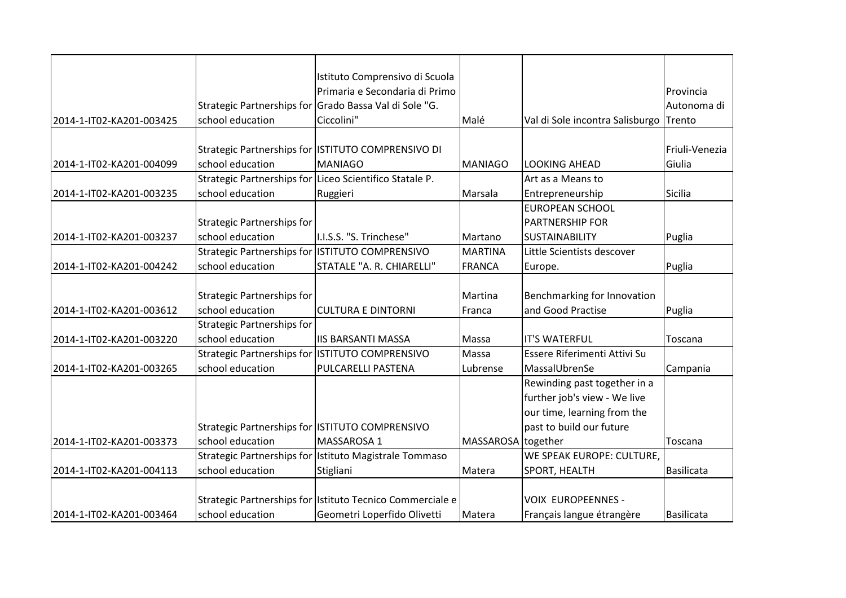|                          |                                                 | Istituto Comprensivo di Scuola                            |                    |                                        |                   |
|--------------------------|-------------------------------------------------|-----------------------------------------------------------|--------------------|----------------------------------------|-------------------|
|                          |                                                 | Primaria e Secondaria di Primo                            |                    |                                        | Provincia         |
|                          |                                                 | Strategic Partnerships for Grado Bassa Val di Sole "G.    |                    |                                        | Autonoma di       |
| 2014-1-IT02-KA201-003425 | school education                                | Ciccolini"                                                | Malé               | Val di Sole incontra Salisburgo Trento |                   |
|                          |                                                 |                                                           |                    |                                        |                   |
|                          |                                                 | Strategic Partnerships for ISTITUTO COMPRENSIVO DI        |                    |                                        | Friuli-Venezia    |
| 2014-1-IT02-KA201-004099 | school education                                | <b>MANIAGO</b>                                            | <b>MANIAGO</b>     | <b>LOOKING AHEAD</b>                   | Giulia            |
|                          |                                                 | Strategic Partnerships for Liceo Scientifico Statale P.   |                    | Art as a Means to                      |                   |
| 2014-1-IT02-KA201-003235 | school education                                | Ruggieri                                                  | Marsala            | Entrepreneurship                       | Sicilia           |
|                          |                                                 |                                                           |                    | <b>EUROPEAN SCHOOL</b>                 |                   |
|                          | <b>Strategic Partnerships for</b>               |                                                           |                    | <b>PARTNERSHIP FOR</b>                 |                   |
| 2014-1-IT02-KA201-003237 | school education                                | I.I.S.S. "S. Trinchese"                                   | Martano            | <b>SUSTAINABILITY</b>                  | Puglia            |
|                          | Strategic Partnerships for ISTITUTO COMPRENSIVO |                                                           | <b>MARTINA</b>     | Little Scientists descover             |                   |
| 2014-1-IT02-KA201-004242 | school education                                | STATALE "A. R. CHIARELLI"                                 | <b>FRANCA</b>      | Europe.                                | Puglia            |
|                          |                                                 |                                                           |                    |                                        |                   |
|                          | <b>Strategic Partnerships for</b>               |                                                           | Martina            | Benchmarking for Innovation            |                   |
| 2014-1-IT02-KA201-003612 | school education                                | <b>CULTURA E DINTORNI</b>                                 | Franca             | and Good Practise                      | Puglia            |
|                          | <b>Strategic Partnerships for</b>               |                                                           |                    |                                        |                   |
| 2014-1-IT02-KA201-003220 | school education                                | <b>IIS BARSANTI MASSA</b>                                 | Massa              | <b>IT'S WATERFUL</b>                   | Toscana           |
|                          | Strategic Partnerships for ISTITUTO COMPRENSIVO |                                                           | Massa              | Essere Riferimenti Attivi Su           |                   |
| 2014-1-IT02-KA201-003265 | school education                                | PULCARELLI PASTENA                                        | Lubrense           | MassalUbrenSe                          | Campania          |
|                          |                                                 |                                                           |                    | Rewinding past together in a           |                   |
|                          |                                                 |                                                           |                    | further job's view - We live           |                   |
|                          |                                                 |                                                           |                    | our time, learning from the            |                   |
|                          | Strategic Partnerships for ISTITUTO COMPRENSIVO |                                                           |                    | past to build our future               |                   |
| 2014-1-IT02-KA201-003373 | school education                                | MASSAROSA 1                                               | MASSAROSA together |                                        | Toscana           |
|                          |                                                 | Strategic Partnerships for Istituto Magistrale Tommaso    |                    | WE SPEAK EUROPE: CULTURE,              |                   |
| 2014-1-IT02-KA201-004113 | school education                                | Stigliani                                                 | Matera             | SPORT, HEALTH                          | <b>Basilicata</b> |
|                          |                                                 |                                                           |                    |                                        |                   |
|                          |                                                 | Strategic Partnerships for Istituto Tecnico Commerciale e |                    | <b>VOIX EUROPEENNES -</b>              |                   |
| 2014-1-IT02-KA201-003464 | school education                                | Geometri Loperfido Olivetti                               | Matera             | Français langue étrangère              | <b>Basilicata</b> |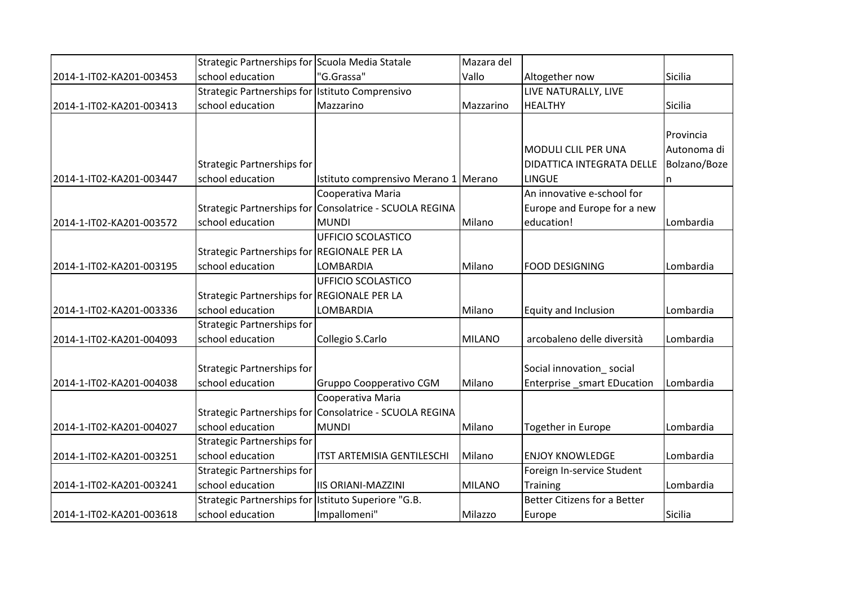|                          | Strategic Partnerships for Scuola Media Statale     |                                                         | Mazara del    |                                     |              |
|--------------------------|-----------------------------------------------------|---------------------------------------------------------|---------------|-------------------------------------|--------------|
| 2014-1-IT02-KA201-003453 | school education                                    | "G.Grassa"                                              | Vallo         | Altogether now                      | Sicilia      |
|                          | Strategic Partnerships for Istituto Comprensivo     |                                                         |               | LIVE NATURALLY, LIVE                |              |
| 2014-1-IT02-KA201-003413 | school education                                    | Mazzarino                                               | Mazzarino     | <b>HEALTHY</b>                      | Sicilia      |
|                          |                                                     |                                                         |               |                                     |              |
|                          |                                                     |                                                         |               |                                     | Provincia    |
|                          |                                                     |                                                         |               | MODULI CLIL PER UNA                 | Autonoma di  |
|                          | <b>Strategic Partnerships for</b>                   |                                                         |               | DIDATTICA INTEGRATA DELLE           | Bolzano/Boze |
| 2014-1-IT02-KA201-003447 | school education                                    | Istituto comprensivo Merano 1 Merano                    |               | <b>LINGUE</b>                       | n            |
|                          |                                                     | Cooperativa Maria                                       |               | An innovative e-school for          |              |
|                          |                                                     | Strategic Partnerships for Consolatrice - SCUOLA REGINA |               | Europe and Europe for a new         |              |
| 2014-1-IT02-KA201-003572 | school education                                    | <b>MUNDI</b>                                            | Milano        | education!                          | Lombardia    |
|                          |                                                     | UFFICIO SCOLASTICO                                      |               |                                     |              |
|                          | Strategic Partnerships for REGIONALE PER LA         |                                                         |               |                                     |              |
| 2014-1-IT02-KA201-003195 | school education                                    | LOMBARDIA                                               | Milano        | <b>FOOD DESIGNING</b>               | Lombardia    |
|                          |                                                     | UFFICIO SCOLASTICO                                      |               |                                     |              |
|                          | Strategic Partnerships for REGIONALE PER LA         |                                                         |               |                                     |              |
| 2014-1-IT02-KA201-003336 | school education                                    | LOMBARDIA                                               | Milano        | <b>Equity and Inclusion</b>         | Lombardia    |
|                          | <b>Strategic Partnerships for</b>                   |                                                         |               |                                     |              |
| 2014-1-IT02-KA201-004093 | school education                                    | Collegio S.Carlo                                        | <b>MILANO</b> | arcobaleno delle diversità          | Lombardia    |
|                          |                                                     |                                                         |               |                                     |              |
|                          | <b>Strategic Partnerships for</b>                   |                                                         |               | Social innovation_social            |              |
| 2014-1-IT02-KA201-004038 | school education                                    | Gruppo Coopperativo CGM                                 | Milano        | Enterprise _smart EDucation         | Lombardia    |
|                          |                                                     | Cooperativa Maria                                       |               |                                     |              |
|                          |                                                     | Strategic Partnerships for Consolatrice - SCUOLA REGINA |               |                                     |              |
| 2014-1-IT02-KA201-004027 | school education                                    | <b>MUNDI</b>                                            | Milano        | <b>Together in Europe</b>           | Lombardia    |
|                          | <b>Strategic Partnerships for</b>                   |                                                         |               |                                     |              |
| 2014-1-IT02-KA201-003251 | school education                                    | <b>ITST ARTEMISIA GENTILESCHI</b>                       | Milano        | <b>ENJOY KNOWLEDGE</b>              | Lombardia    |
|                          | <b>Strategic Partnerships for</b>                   |                                                         |               | Foreign In-service Student          |              |
| 2014-1-IT02-KA201-003241 | school education                                    | <b>IIS ORIANI-MAZZINI</b>                               | <b>MILANO</b> | <b>Training</b>                     | Lombardia    |
|                          | Strategic Partnerships for Istituto Superiore "G.B. |                                                         |               | <b>Better Citizens for a Better</b> |              |
| 2014-1-IT02-KA201-003618 | school education                                    | Impallomeni"                                            | Milazzo       | Europe                              | Sicilia      |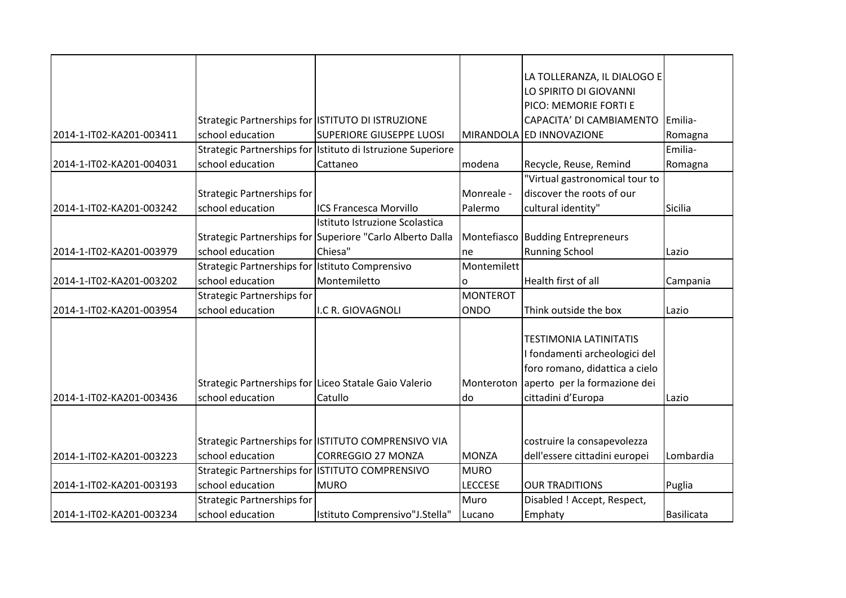|                          |                                                   |                                                             |                 | LA TOLLERANZA, IL DIALOGO E       |            |
|--------------------------|---------------------------------------------------|-------------------------------------------------------------|-----------------|-----------------------------------|------------|
|                          |                                                   |                                                             |                 | LO SPIRITO DI GIOVANNI            |            |
|                          |                                                   |                                                             |                 | PICO: MEMORIE FORTI E             |            |
|                          | Strategic Partnerships for ISTITUTO DI ISTRUZIONE |                                                             |                 | CAPACITA' DI CAMBIAMENTO          | Emilia-    |
| 2014-1-IT02-KA201-003411 | school education                                  | <b>SUPERIORE GIUSEPPE LUOSI</b>                             |                 | MIRANDOLA ED INNOVAZIONE          | Romagna    |
|                          |                                                   | Strategic Partnerships for Istituto di Istruzione Superiore |                 |                                   | Emilia-    |
| 2014-1-IT02-KA201-004031 | school education                                  | Cattaneo                                                    | modena          | Recycle, Reuse, Remind            | Romagna    |
|                          |                                                   |                                                             |                 | "Virtual gastronomical tour to    |            |
|                          | Strategic Partnerships for                        |                                                             | Monreale -      | discover the roots of our         |            |
| 2014-1-IT02-KA201-003242 | school education                                  | <b>ICS Francesca Morvillo</b>                               | Palermo         | cultural identity"                | Sicilia    |
|                          |                                                   | Istituto Istruzione Scolastica                              |                 |                                   |            |
|                          |                                                   | Strategic Partnerships for Superiore "Carlo Alberto Dalla   |                 | Montefiasco Budding Entrepreneurs |            |
| 2014-1-IT02-KA201-003979 | school education                                  | Chiesa"                                                     | ne              | <b>Running School</b>             | Lazio      |
|                          | Strategic Partnerships for Istituto Comprensivo   |                                                             | Montemilett     |                                   |            |
| 2014-1-IT02-KA201-003202 | school education                                  | Montemiletto                                                | 0               | Health first of all               | Campania   |
|                          | <b>Strategic Partnerships for</b>                 |                                                             | <b>MONTEROT</b> |                                   |            |
| 2014-1-IT02-KA201-003954 | school education                                  | I.C R. GIOVAGNOLI                                           | <b>ONDO</b>     | Think outside the box             | Lazio      |
|                          |                                                   |                                                             |                 |                                   |            |
|                          |                                                   |                                                             |                 | <b>TESTIMONIA LATINITATIS</b>     |            |
|                          |                                                   |                                                             |                 | I fondamenti archeologici del     |            |
|                          |                                                   |                                                             |                 | foro romano, didattica a cielo    |            |
|                          |                                                   | Strategic Partnerships for Liceo Statale Gaio Valerio       | Monteroton      | aperto per la formazione dei      |            |
| 2014-1-IT02-KA201-003436 | school education                                  | Catullo                                                     | do              | cittadini d'Europa                | Lazio      |
|                          |                                                   |                                                             |                 |                                   |            |
|                          |                                                   |                                                             |                 |                                   |            |
|                          |                                                   | Strategic Partnerships for ISTITUTO COMPRENSIVO VIA         |                 | costruire la consapevolezza       |            |
| 2014-1-IT02-KA201-003223 | school education                                  | <b>CORREGGIO 27 MONZA</b>                                   | <b>MONZA</b>    | dell'essere cittadini europei     | Lombardia  |
|                          | Strategic Partnerships for ISTITUTO COMPRENSIVO   |                                                             | <b>MURO</b>     |                                   |            |
| 2014-1-IT02-KA201-003193 | school education                                  | <b>MURO</b>                                                 | <b>LECCESE</b>  | <b>OUR TRADITIONS</b>             | Puglia     |
|                          | <b>Strategic Partnerships for</b>                 |                                                             | Muro            | Disabled ! Accept, Respect,       |            |
| 2014-1-IT02-KA201-003234 | school education                                  | Istituto Comprensivo"J.Stella"                              | Lucano          | Emphaty                           | Basilicata |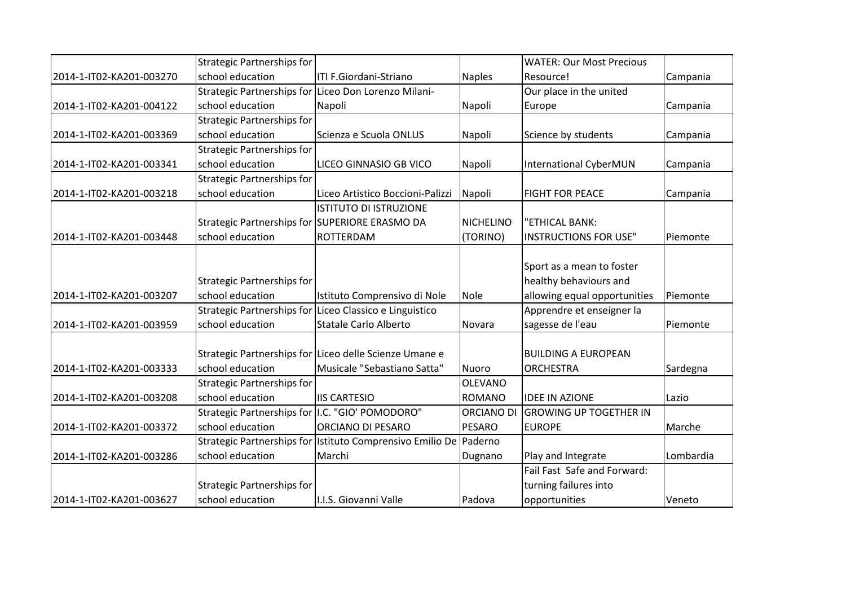|                          | <b>Strategic Partnerships for</b>               |                                                                   |                   | <b>WATER: Our Most Precious</b> |           |
|--------------------------|-------------------------------------------------|-------------------------------------------------------------------|-------------------|---------------------------------|-----------|
| 2014-1-IT02-KA201-003270 | school education                                | ITI F.Giordani-Striano                                            | <b>Naples</b>     | Resource!                       | Campania  |
|                          |                                                 | Strategic Partnerships for Liceo Don Lorenzo Milani-              |                   | Our place in the united         |           |
| 2014-1-IT02-KA201-004122 | school education                                | Napoli                                                            | Napoli            | Europe                          | Campania  |
|                          | <b>Strategic Partnerships for</b>               |                                                                   |                   |                                 |           |
| 2014-1-IT02-KA201-003369 | school education                                | Scienza e Scuola ONLUS                                            | Napoli            | Science by students             | Campania  |
|                          | <b>Strategic Partnerships for</b>               |                                                                   |                   |                                 |           |
| 2014-1-IT02-KA201-003341 | school education                                | LICEO GINNASIO GB VICO                                            | Napoli            | International CyberMUN          | Campania  |
|                          | <b>Strategic Partnerships for</b>               |                                                                   |                   |                                 |           |
| 2014-1-IT02-KA201-003218 | school education                                | Liceo Artistico Boccioni-Palizzi                                  | Napoli            | <b>FIGHT FOR PEACE</b>          | Campania  |
|                          |                                                 | <b>ISTITUTO DI ISTRUZIONE</b>                                     |                   |                                 |           |
|                          | Strategic Partnerships for SUPERIORE ERASMO DA  |                                                                   | <b>NICHELINO</b>  | "ETHICAL BANK:                  |           |
| 2014-1-IT02-KA201-003448 | school education                                | <b>ROTTERDAM</b>                                                  | (TORINO)          | <b>INSTRUCTIONS FOR USE"</b>    | Piemonte  |
|                          |                                                 |                                                                   |                   |                                 |           |
|                          |                                                 |                                                                   |                   | Sport as a mean to foster       |           |
|                          | Strategic Partnerships for                      |                                                                   |                   | healthy behaviours and          |           |
| 2014-1-IT02-KA201-003207 | school education                                | Istituto Comprensivo di Nole                                      | Nole              | allowing equal opportunities    | Piemonte  |
|                          |                                                 | Strategic Partnerships for Liceo Classico e Linguistico           |                   | Apprendre et enseigner la       |           |
| 2014-1-IT02-KA201-003959 | school education                                | <b>Statale Carlo Alberto</b>                                      | Novara            | sagesse de l'eau                | Piemonte  |
|                          |                                                 |                                                                   |                   |                                 |           |
|                          |                                                 | Strategic Partnerships for Liceo delle Scienze Umane e            |                   | <b>BUILDING A EUROPEAN</b>      |           |
| 2014-1-IT02-KA201-003333 | school education                                | Musicale "Sebastiano Satta"                                       | Nuoro             | <b>ORCHESTRA</b>                | Sardegna  |
|                          | <b>Strategic Partnerships for</b>               |                                                                   | <b>OLEVANO</b>    |                                 |           |
| 2014-1-IT02-KA201-003208 | school education                                | <b>IIS CARTESIO</b>                                               | <b>ROMANO</b>     | <b>IDEE IN AZIONE</b>           | Lazio     |
|                          | Strategic Partnerships for I.C. "GIO' POMODORO" |                                                                   | <b>ORCIANO DI</b> | <b>GROWING UP TOGETHER IN</b>   |           |
| 2014-1-IT02-KA201-003372 | school education                                | <b>ORCIANO DI PESARO</b>                                          | <b>PESARO</b>     | <b>EUROPE</b>                   | Marche    |
|                          |                                                 | Strategic Partnerships for Istituto Comprensivo Emilio De Paderno |                   |                                 |           |
| 2014-1-IT02-KA201-003286 | school education                                | Marchi                                                            | Dugnano           | Play and Integrate              | Lombardia |
|                          |                                                 |                                                                   |                   | Fail Fast Safe and Forward:     |           |
|                          | Strategic Partnerships for                      |                                                                   |                   | turning failures into           |           |
| 2014-1-IT02-KA201-003627 | school education                                | I.I.S. Giovanni Valle                                             | Padova            | opportunities                   | Veneto    |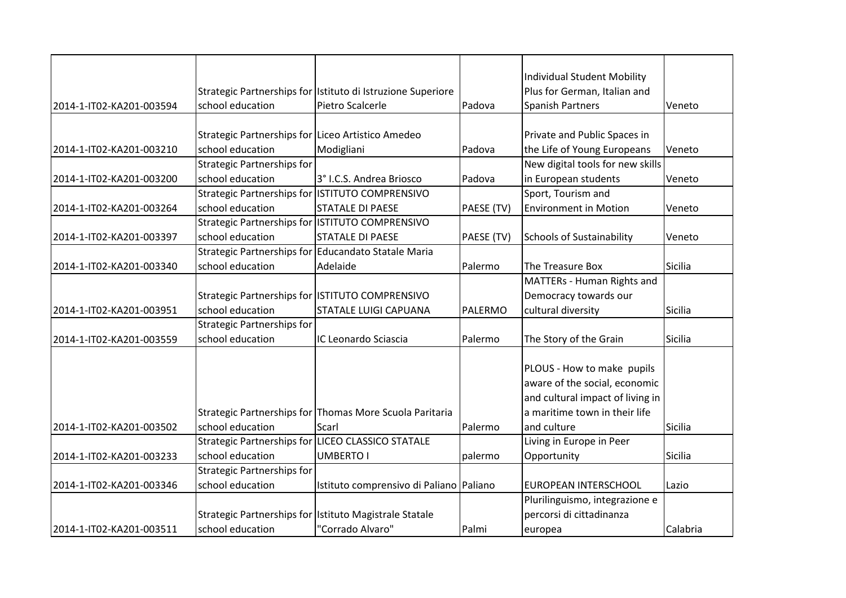|                          |                                                   |                                                             |            | <b>Individual Student Mobility</b> |          |
|--------------------------|---------------------------------------------------|-------------------------------------------------------------|------------|------------------------------------|----------|
|                          |                                                   | Strategic Partnerships for Istituto di Istruzione Superiore |            | Plus for German, Italian and       |          |
| 2014-1-IT02-KA201-003594 | school education                                  | Pietro Scalcerle                                            | Padova     | <b>Spanish Partners</b>            | Veneto   |
|                          |                                                   |                                                             |            |                                    |          |
|                          | Strategic Partnerships for Liceo Artistico Amedeo |                                                             |            | Private and Public Spaces in       |          |
| 2014-1-IT02-KA201-003210 | school education                                  | Modigliani                                                  | Padova     | the Life of Young Europeans        | Veneto   |
|                          | <b>Strategic Partnerships for</b>                 |                                                             |            | New digital tools for new skills   |          |
| 2014-1-IT02-KA201-003200 | school education                                  | 3° I.C.S. Andrea Briosco                                    | Padova     | in European students               | Veneto   |
|                          | Strategic Partnerships for ISTITUTO COMPRENSIVO   |                                                             |            | Sport, Tourism and                 |          |
| 2014-1-IT02-KA201-003264 | school education                                  | <b>STATALE DI PAESE</b>                                     | PAESE (TV) | <b>Environment in Motion</b>       | Veneto   |
|                          |                                                   | Strategic Partnerships for ISTITUTO COMPRENSIVO             |            |                                    |          |
| 2014-1-IT02-KA201-003397 | school education                                  | <b>STATALE DI PAESE</b>                                     | PAESE (TV) | <b>Schools of Sustainability</b>   | Veneto   |
|                          |                                                   | Strategic Partnerships for Educandato Statale Maria         |            |                                    |          |
| 2014-1-IT02-KA201-003340 | school education                                  | Adelaide                                                    | Palermo    | The Treasure Box                   | Sicilia  |
|                          |                                                   |                                                             |            | <b>MATTERs - Human Rights and</b>  |          |
|                          |                                                   | Strategic Partnerships for ISTITUTO COMPRENSIVO             |            | Democracy towards our              |          |
| 2014-1-IT02-KA201-003951 | school education                                  | <b>STATALE LUIGI CAPUANA</b>                                | PALERMO    | cultural diversity                 | Sicilia  |
|                          | <b>Strategic Partnerships for</b>                 |                                                             |            |                                    |          |
| 2014-1-IT02-KA201-003559 | school education                                  | IC Leonardo Sciascia                                        | Palermo    | The Story of the Grain             | Sicilia  |
|                          |                                                   |                                                             |            |                                    |          |
|                          |                                                   |                                                             |            | PLOUS - How to make pupils         |          |
|                          |                                                   |                                                             |            | aware of the social, economic      |          |
|                          |                                                   |                                                             |            | and cultural impact of living in   |          |
|                          |                                                   | Strategic Partnerships for Thomas More Scuola Paritaria     |            | a maritime town in their life      |          |
| 2014-1-IT02-KA201-003502 | school education                                  | Scarl                                                       | Palermo    | and culture                        | Sicilia  |
|                          |                                                   | Strategic Partnerships for LICEO CLASSICO STATALE           |            | Living in Europe in Peer           |          |
| 2014-1-IT02-KA201-003233 | school education                                  | <b>UMBERTO I</b>                                            | palermo    | Opportunity                        | Sicilia  |
|                          | <b>Strategic Partnerships for</b>                 |                                                             |            |                                    |          |
| 2014-1-IT02-KA201-003346 | school education                                  | Istituto comprensivo di Paliano Paliano                     |            | EUROPEAN INTERSCHOOL               | Lazio    |
|                          |                                                   |                                                             |            | Plurilinguismo, integrazione e     |          |
|                          |                                                   | Strategic Partnerships for Istituto Magistrale Statale      |            | percorsi di cittadinanza           |          |
| 2014-1-IT02-KA201-003511 | school education                                  | "Corrado Alvaro"                                            | Palmi      | europea                            | Calabria |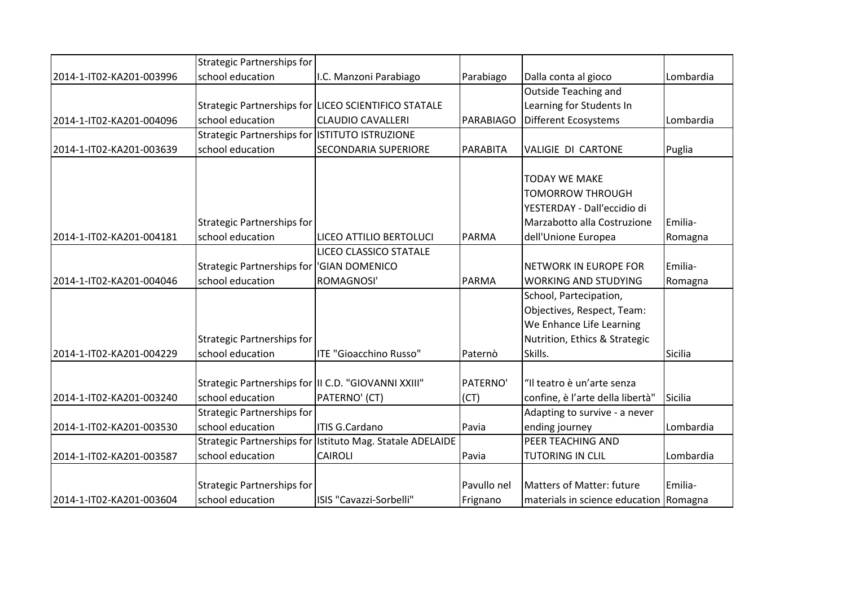|                          | <b>Strategic Partnerships for</b>                    |                                                           |                 |                                        |           |
|--------------------------|------------------------------------------------------|-----------------------------------------------------------|-----------------|----------------------------------------|-----------|
| 2014-1-IT02-KA201-003996 | school education                                     | I.C. Manzoni Parabiago                                    | Parabiago       | Dalla conta al gioco                   | Lombardia |
|                          |                                                      |                                                           |                 | <b>Outside Teaching and</b>            |           |
|                          |                                                      | Strategic Partnerships for LICEO SCIENTIFICO STATALE      |                 | Learning for Students In               |           |
| 2014-1-IT02-KA201-004096 | school education                                     | <b>CLAUDIO CAVALLERI</b>                                  | PARABIAGO       | Different Ecosystems                   | Lombardia |
|                          | Strategic Partnerships for ISTITUTO ISTRUZIONE       |                                                           |                 |                                        |           |
| 2014-1-IT02-KA201-003639 | school education                                     | <b>SECONDARIA SUPERIORE</b>                               | <b>PARABITA</b> | VALIGIE DI CARTONE                     | Puglia    |
|                          |                                                      |                                                           |                 |                                        |           |
|                          |                                                      |                                                           |                 | <b>TODAY WE MAKE</b>                   |           |
|                          |                                                      |                                                           |                 | <b>TOMORROW THROUGH</b>                |           |
|                          |                                                      |                                                           |                 | YESTERDAY - Dall'eccidio di            |           |
|                          | <b>Strategic Partnerships for</b>                    |                                                           |                 | Marzabotto alla Costruzione            | Emilia-   |
| 2014-1-IT02-KA201-004181 | school education                                     | LICEO ATTILIO BERTOLUCI                                   | <b>PARMA</b>    | dell'Unione Europea                    | Romagna   |
|                          |                                                      | LICEO CLASSICO STATALE                                    |                 |                                        |           |
|                          | Strategic Partnerships for  'GIAN DOMENICO           |                                                           |                 | <b>NETWORK IN EUROPE FOR</b>           | Emilia-   |
| 2014-1-IT02-KA201-004046 | school education                                     | ROMAGNOSI'                                                | <b>PARMA</b>    | <b>WORKING AND STUDYING</b>            | Romagna   |
|                          |                                                      |                                                           |                 | School, Partecipation,                 |           |
|                          |                                                      |                                                           |                 | Objectives, Respect, Team:             |           |
|                          |                                                      |                                                           |                 | We Enhance Life Learning               |           |
|                          | <b>Strategic Partnerships for</b>                    |                                                           |                 | Nutrition, Ethics & Strategic          |           |
| 2014-1-IT02-KA201-004229 | school education                                     | ITE "Gioacchino Russo"                                    | Paternò         | Skills.                                | Sicilia   |
|                          |                                                      |                                                           |                 |                                        |           |
|                          | Strategic Partnerships for III C.D. "GIOVANNI XXIII" |                                                           | PATERNO'        | "Il teatro è un'arte senza             |           |
| 2014-1-IT02-KA201-003240 | school education                                     | PATERNO' (CT)                                             | (CT)            | confine, è l'arte della libertà"       | Sicilia   |
|                          | <b>Strategic Partnerships for</b>                    |                                                           |                 | Adapting to survive - a never          |           |
| 2014-1-IT02-KA201-003530 | school education                                     | ITIS G.Cardano                                            | Pavia           | ending journey                         | Lombardia |
|                          |                                                      | Strategic Partnerships for Istituto Mag. Statale ADELAIDE |                 | PEER TEACHING AND                      |           |
| 2014-1-IT02-KA201-003587 | school education                                     | <b>CAIROLI</b>                                            | Pavia           | <b>TUTORING IN CLIL</b>                | Lombardia |
|                          |                                                      |                                                           |                 |                                        |           |
|                          | <b>Strategic Partnerships for</b>                    |                                                           | Pavullo nel     | <b>Matters of Matter: future</b>       | Emilia-   |
| 2014-1-IT02-KA201-003604 | school education                                     | ISIS "Cavazzi-Sorbelli"                                   | Frignano        | materials in science education Romagna |           |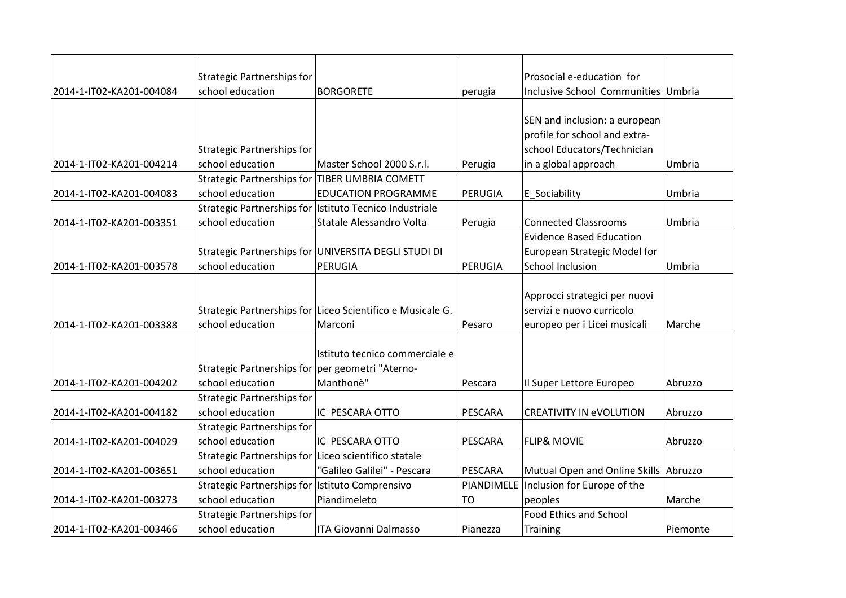|                          | Strategic Partnerships for                           |                                                            |                | Prosocial e-education for                |          |
|--------------------------|------------------------------------------------------|------------------------------------------------------------|----------------|------------------------------------------|----------|
| 2014-1-IT02-KA201-004084 | school education                                     | <b>BORGORETE</b>                                           | perugia        | Inclusive School Communities Umbria      |          |
|                          |                                                      |                                                            |                |                                          |          |
|                          |                                                      |                                                            |                | SEN and inclusion: a european            |          |
|                          |                                                      |                                                            |                | profile for school and extra-            |          |
|                          | Strategic Partnerships for                           |                                                            |                | school Educators/Technician              |          |
| 2014-1-IT02-KA201-004214 | school education                                     | Master School 2000 S.r.l.                                  | Perugia        | in a global approach                     | Umbria   |
|                          | Strategic Partnerships for TIBER UMBRIA COMETT       |                                                            |                |                                          |          |
| 2014-1-IT02-KA201-004083 | school education                                     | <b>EDUCATION PROGRAMME</b>                                 | <b>PERUGIA</b> | E Sociability                            | Umbria   |
|                          |                                                      | Strategic Partnerships for Istituto Tecnico Industriale    |                |                                          |          |
| 2014-1-IT02-KA201-003351 | school education                                     | Statale Alessandro Volta                                   | Perugia        | <b>Connected Classrooms</b>              | Umbria   |
|                          |                                                      |                                                            |                | <b>Evidence Based Education</b>          |          |
|                          |                                                      | Strategic Partnerships for UNIVERSITA DEGLI STUDI DI       |                | European Strategic Model for             |          |
| 2014-1-IT02-KA201-003578 | school education                                     | PERUGIA                                                    | <b>PERUGIA</b> | <b>School Inclusion</b>                  | Umbria   |
|                          |                                                      |                                                            |                |                                          |          |
|                          |                                                      |                                                            |                | Approcci strategici per nuovi            |          |
|                          |                                                      | Strategic Partnerships for Liceo Scientifico e Musicale G. |                | servizi e nuovo curricolo                |          |
| 2014-1-IT02-KA201-003388 | school education                                     | Marconi                                                    | Pesaro         | europeo per i Licei musicali             | Marche   |
|                          |                                                      |                                                            |                |                                          |          |
|                          |                                                      | Istituto tecnico commerciale e                             |                |                                          |          |
|                          | Strategic Partnerships for per geometri "Aterno-     |                                                            |                |                                          |          |
| 2014-1-IT02-KA201-004202 | school education                                     | Manthonè"                                                  | Pescara        | Il Super Lettore Europeo                 | Abruzzo  |
|                          | <b>Strategic Partnerships for</b>                    |                                                            |                |                                          |          |
| 2014-1-IT02-KA201-004182 | school education                                     | IC PESCARA OTTO                                            | <b>PESCARA</b> | <b>CREATIVITY IN eVOLUTION</b>           | Abruzzo  |
|                          | <b>Strategic Partnerships for</b>                    |                                                            |                |                                          |          |
| 2014-1-IT02-KA201-004029 | school education                                     | IC PESCARA OTTO                                            | PESCARA        | <b>FLIP&amp; MOVIE</b>                   | Abruzzo  |
|                          | Strategic Partnerships for Liceo scientifico statale |                                                            |                |                                          |          |
| 2014-1-IT02-KA201-003651 | school education                                     | "Galileo Galilei" - Pescara                                | PESCARA        | Mutual Open and Online Skills Abruzzo    |          |
|                          | Strategic Partnerships for Istituto Comprensivo      |                                                            |                | PIANDIMELE   Inclusion for Europe of the |          |
| 2014-1-IT02-KA201-003273 | school education                                     | Piandimeleto                                               | <b>TO</b>      | peoples                                  | Marche   |
|                          | <b>Strategic Partnerships for</b>                    |                                                            |                | <b>Food Ethics and School</b>            |          |
| 2014-1-IT02-KA201-003466 | school education                                     | <b>ITA Giovanni Dalmasso</b>                               | Pianezza       | <b>Training</b>                          | Piemonte |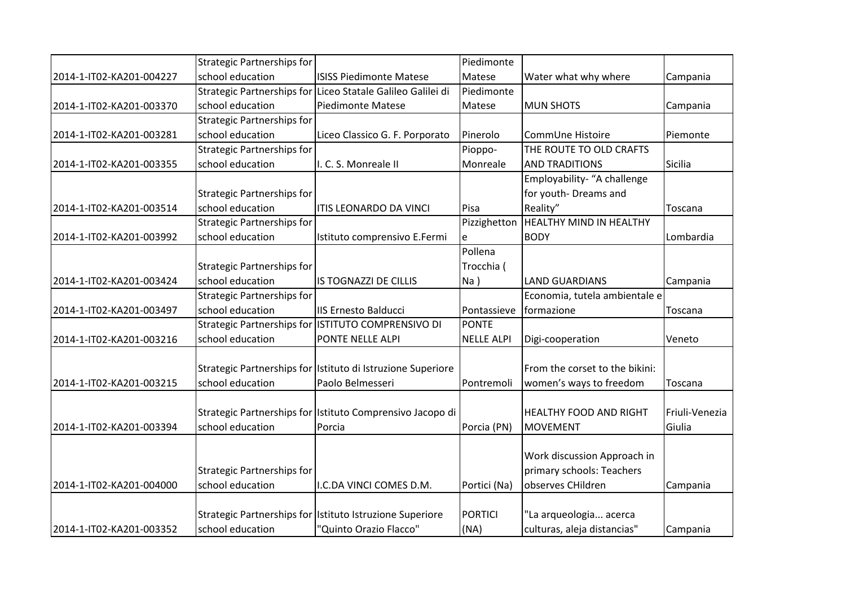|                          | <b>Strategic Partnerships for</b> |                                                             | Piedimonte        |                                |                |
|--------------------------|-----------------------------------|-------------------------------------------------------------|-------------------|--------------------------------|----------------|
| 2014-1-IT02-KA201-004227 | school education                  | <b>ISISS Piedimonte Matese</b>                              | Matese            | Water what why where           | Campania       |
|                          |                                   | Strategic Partnerships for Liceo Statale Galileo Galilei di | Piedimonte        |                                |                |
| 2014-1-IT02-KA201-003370 | school education                  | <b>Piedimonte Matese</b>                                    | Matese            | <b>MUN SHOTS</b>               | Campania       |
|                          | <b>Strategic Partnerships for</b> |                                                             |                   |                                |                |
| 2014-1-IT02-KA201-003281 | school education                  | Liceo Classico G. F. Porporato                              | Pinerolo          | CommUne Histoire               | Piemonte       |
|                          | <b>Strategic Partnerships for</b> |                                                             | Pioppo-           | THE ROUTE TO OLD CRAFTS        |                |
| 2014-1-IT02-KA201-003355 | school education                  | I. C. S. Monreale II                                        | Monreale          | <b>AND TRADITIONS</b>          | Sicilia        |
|                          |                                   |                                                             |                   | Employability- "A challenge    |                |
|                          | Strategic Partnerships for        |                                                             |                   | for youth-Dreams and           |                |
| 2014-1-IT02-KA201-003514 | school education                  | <b>ITIS LEONARDO DA VINCI</b>                               | Pisa              | Reality"                       | Toscana        |
|                          | <b>Strategic Partnerships for</b> |                                                             | Pizzighetton      | HEALTHY MIND IN HEALTHY        |                |
| 2014-1-IT02-KA201-003992 | school education                  | Istituto comprensivo E.Fermi                                | e                 | <b>BODY</b>                    | Lombardia      |
|                          |                                   |                                                             | Pollena           |                                |                |
|                          | <b>Strategic Partnerships for</b> |                                                             | Trocchia (        |                                |                |
| 2014-1-IT02-KA201-003424 | school education                  | <b>IS TOGNAZZI DE CILLIS</b>                                | $Na$ )            | <b>LAND GUARDIANS</b>          | Campania       |
|                          | <b>Strategic Partnerships for</b> |                                                             |                   | Economia, tutela ambientale e  |                |
| 2014-1-IT02-KA201-003497 | school education                  | IIS Ernesto Balducci                                        | Pontassieve       | formazione                     | Toscana        |
|                          |                                   | Strategic Partnerships for ISTITUTO COMPRENSIVO DI          | <b>PONTE</b>      |                                |                |
| 2014-1-IT02-KA201-003216 | school education                  | PONTE NELLE ALPI                                            | <b>NELLE ALPI</b> | Digi-cooperation               | Veneto         |
|                          |                                   |                                                             |                   |                                |                |
|                          |                                   | Strategic Partnerships for Istituto di Istruzione Superiore |                   | From the corset to the bikini: |                |
| 2014-1-IT02-KA201-003215 | school education                  | Paolo Belmesseri                                            | Pontremoli        | women's ways to freedom        | Toscana        |
|                          |                                   |                                                             |                   |                                |                |
|                          |                                   | Strategic Partnerships for Istituto Comprensivo Jacopo di   |                   | HEALTHY FOOD AND RIGHT         | Friuli-Venezia |
| 2014-1-IT02-KA201-003394 | school education                  | Porcia                                                      | Porcia (PN)       | <b>MOVEMENT</b>                | Giulia         |
|                          |                                   |                                                             |                   |                                |                |
|                          |                                   |                                                             |                   | Work discussion Approach in    |                |
|                          | Strategic Partnerships for        |                                                             |                   | primary schools: Teachers      |                |
| 2014-1-IT02-KA201-004000 | school education                  | I.C.DA VINCI COMES D.M.                                     | Portici (Na)      | observes CHildren              | Campania       |
|                          |                                   |                                                             |                   |                                |                |
|                          |                                   | Strategic Partnerships for Istituto Istruzione Superiore    | PORTICI           | "La arqueologia acerca         |                |
| 2014-1-IT02-KA201-003352 | school education                  | "Quinto Orazio Flacco"                                      | (NA)              | culturas, aleja distancias"    | Campania       |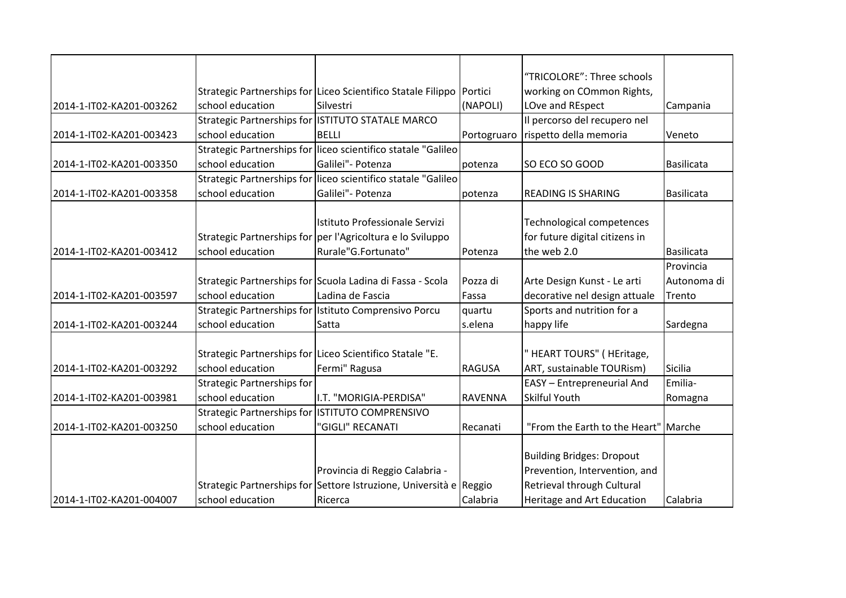|                          |                                   |                                                                    |               | "TRICOLORE": Three schools           |                   |
|--------------------------|-----------------------------------|--------------------------------------------------------------------|---------------|--------------------------------------|-------------------|
|                          |                                   | Strategic Partnerships for Liceo Scientifico Statale Filippo       | Portici       | working on COmmon Rights,            |                   |
| 2014-1-IT02-KA201-003262 | school education                  | Silvestri                                                          | (NAPOLI)      | LOve and REspect                     | Campania          |
|                          |                                   | Strategic Partnerships for ISTITUTO STATALE MARCO                  |               | Il percorso del recupero nel         |                   |
| 2014-1-IT02-KA201-003423 | school education                  | <b>BELLI</b>                                                       | Portogruaro   | rispetto della memoria               | Veneto            |
|                          |                                   | Strategic Partnerships for liceo scientifico statale "Galileo      |               |                                      |                   |
| 2014-1-IT02-KA201-003350 | school education                  | Galilei" - Potenza                                                 | potenza       | SO ECO SO GOOD                       | <b>Basilicata</b> |
|                          |                                   | Strategic Partnerships for liceo scientifico statale "Galileo      |               |                                      |                   |
| 2014-1-IT02-KA201-003358 | school education                  | Galilei" - Potenza                                                 | potenza       | <b>READING IS SHARING</b>            | <b>Basilicata</b> |
|                          |                                   |                                                                    |               |                                      |                   |
|                          |                                   | Istituto Professionale Servizi                                     |               | Technological competences            |                   |
|                          |                                   | Strategic Partnerships for per l'Agricoltura e lo Sviluppo         |               | for future digital citizens in       |                   |
| 2014-1-IT02-KA201-003412 | school education                  | Rurale"G.Fortunato"                                                | Potenza       | the web 2.0                          | <b>Basilicata</b> |
|                          |                                   |                                                                    |               |                                      | Provincia         |
|                          |                                   | Strategic Partnerships for Scuola Ladina di Fassa - Scola          | Pozza di      | Arte Design Kunst - Le arti          | Autonoma di       |
| 2014-1-IT02-KA201-003597 | school education                  | Ladina de Fascia                                                   | Fassa         | decorative nel design attuale        | Trento            |
|                          |                                   | Strategic Partnerships for Istituto Comprensivo Porcu              | quartu        | Sports and nutrition for a           |                   |
| 2014-1-IT02-KA201-003244 | school education                  | Satta                                                              | s.elena       | happy life                           | Sardegna          |
|                          |                                   |                                                                    |               |                                      |                   |
|                          |                                   | Strategic Partnerships for Liceo Scientifico Statale "E.           |               | HEART TOURS" (HEritage,              |                   |
| 2014-1-IT02-KA201-003292 | school education                  | Fermi" Ragusa                                                      | <b>RAGUSA</b> | ART, sustainable TOURism)            | Sicilia           |
|                          | <b>Strategic Partnerships for</b> |                                                                    |               | EASY - Entrepreneurial And           | Emilia-           |
| 2014-1-IT02-KA201-003981 | school education                  | I.T. "MORIGIA-PERDISA"                                             | RAVENNA       | Skilful Youth                        | Romagna           |
|                          |                                   | Strategic Partnerships for ISTITUTO COMPRENSIVO                    |               |                                      |                   |
| 2014-1-IT02-KA201-003250 | school education                  | 'GIGLI" RECANATI                                                   | Recanati      | "From the Earth to the Heart" Marche |                   |
|                          |                                   |                                                                    |               |                                      |                   |
|                          |                                   |                                                                    |               | <b>Building Bridges: Dropout</b>     |                   |
|                          |                                   | Provincia di Reggio Calabria -                                     |               | Prevention, Intervention, and        |                   |
|                          |                                   | Strategic Partnerships for Settore Istruzione, Università e Reggio |               | Retrieval through Cultural           |                   |
| 2014-1-IT02-KA201-004007 | school education                  | Ricerca                                                            | Calabria      | Heritage and Art Education           | Calabria          |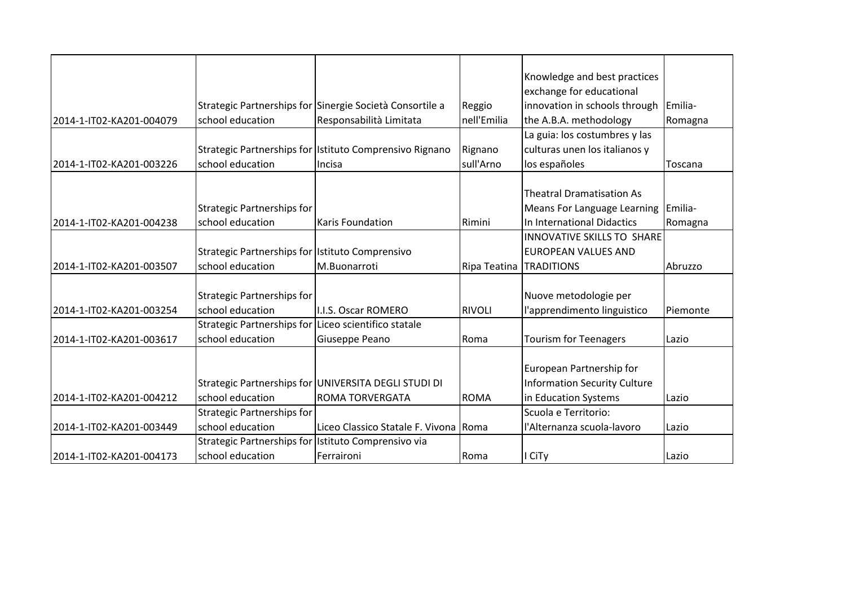|                          |                                                      |                                                          |               | Knowledge and best practices        |          |
|--------------------------|------------------------------------------------------|----------------------------------------------------------|---------------|-------------------------------------|----------|
|                          |                                                      |                                                          |               | exchange for educational            |          |
|                          |                                                      | Strategic Partnerships for Sinergie Società Consortile a | Reggio        | innovation in schools through       | Emilia-  |
| 2014-1-IT02-KA201-004079 | school education                                     | Responsabilità Limitata                                  | nell'Emilia   | the A.B.A. methodology              | Romagna  |
|                          |                                                      |                                                          |               | La guia: los costumbres y las       |          |
|                          |                                                      | Strategic Partnerships for Istituto Comprensivo Rignano  | Rignano       | culturas unen los italianos y       |          |
| 2014-1-IT02-KA201-003226 | school education                                     | Incisa                                                   | sull'Arno     | los españoles                       | Toscana  |
|                          |                                                      |                                                          |               |                                     |          |
|                          |                                                      |                                                          |               | <b>Theatral Dramatisation As</b>    |          |
|                          | <b>Strategic Partnerships for</b>                    |                                                          |               | Means For Language Learning         | Emilia-  |
| 2014-1-IT02-KA201-004238 | school education                                     | <b>Karis Foundation</b>                                  | Rimini        | In International Didactics          | Romagna  |
|                          |                                                      |                                                          |               | <b>INNOVATIVE SKILLS TO SHARE</b>   |          |
|                          | Strategic Partnerships for Istituto Comprensivo      |                                                          |               | <b>EUROPEAN VALUES AND</b>          |          |
| 2014-1-IT02-KA201-003507 | school education                                     | M.Buonarroti                                             | Ripa Teatina  | <b>TRADITIONS</b>                   | Abruzzo  |
|                          |                                                      |                                                          |               |                                     |          |
|                          | <b>Strategic Partnerships for</b>                    |                                                          |               | Nuove metodologie per               |          |
| 2014-1-IT02-KA201-003254 | school education                                     | I.I.S. Oscar ROMERO                                      | <b>RIVOLI</b> | l'apprendimento linguistico         | Piemonte |
|                          | Strategic Partnerships for Liceo scientifico statale |                                                          |               |                                     |          |
| 2014-1-IT02-KA201-003617 | school education                                     | Giuseppe Peano                                           | Roma          | <b>Tourism for Teenagers</b>        | Lazio    |
|                          |                                                      |                                                          |               |                                     |          |
|                          |                                                      |                                                          |               | European Partnership for            |          |
|                          |                                                      | Strategic Partnerships for UNIVERSITA DEGLI STUDI DI     |               | <b>Information Security Culture</b> |          |
| 2014-1-IT02-KA201-004212 | school education                                     | <b>ROMA TORVERGATA</b>                                   | <b>ROMA</b>   | in Education Systems                | Lazio    |
|                          | <b>Strategic Partnerships for</b>                    |                                                          |               | Scuola e Territorio:                |          |
| 2014-1-IT02-KA201-003449 | school education                                     | Liceo Classico Statale F. Vivona Roma                    |               | l'Alternanza scuola-lavoro          | Lazio    |
|                          | Strategic Partnerships for Istituto Comprensivo via  |                                                          |               |                                     |          |
| 2014-1-IT02-KA201-004173 | school education                                     | Ferraironi                                               | Roma          | I CiTy                              | Lazio    |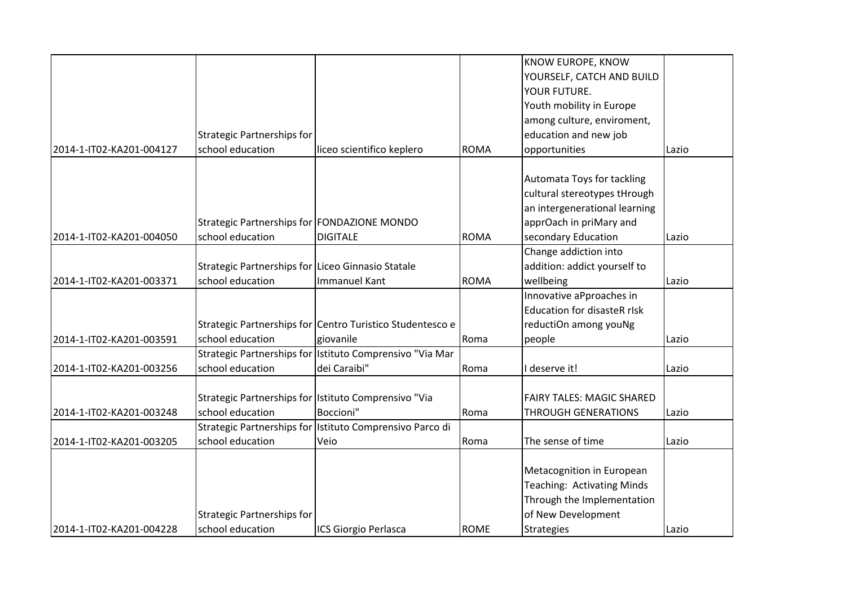|                          |                                                   |                                                           |             | <b>KNOW EUROPE, KNOW</b>           |       |
|--------------------------|---------------------------------------------------|-----------------------------------------------------------|-------------|------------------------------------|-------|
|                          |                                                   |                                                           |             | YOURSELF, CATCH AND BUILD          |       |
|                          |                                                   |                                                           |             | YOUR FUTURE.                       |       |
|                          |                                                   |                                                           |             | Youth mobility in Europe           |       |
|                          |                                                   |                                                           |             | among culture, enviroment,         |       |
|                          | <b>Strategic Partnerships for</b>                 |                                                           |             | education and new job              |       |
| 2014-1-IT02-KA201-004127 | school education                                  | liceo scientifico keplero                                 | <b>ROMA</b> | opportunities                      | Lazio |
|                          |                                                   |                                                           |             |                                    |       |
|                          |                                                   |                                                           |             | Automata Toys for tackling         |       |
|                          |                                                   |                                                           |             | cultural stereotypes tHrough       |       |
|                          |                                                   |                                                           |             | an intergenerational learning      |       |
|                          | Strategic Partnerships for FONDAZIONE MONDO       |                                                           |             | apprOach in priMary and            |       |
| 2014-1-IT02-KA201-004050 | school education                                  | <b>DIGITALE</b>                                           | <b>ROMA</b> | secondary Education                | Lazio |
|                          |                                                   |                                                           |             | Change addiction into              |       |
|                          | Strategic Partnerships for Liceo Ginnasio Statale |                                                           |             | addition: addict yourself to       |       |
| 2014-1-IT02-KA201-003371 | school education                                  | <b>Immanuel Kant</b>                                      | <b>ROMA</b> | wellbeing                          | Lazio |
|                          |                                                   |                                                           |             | Innovative aPproaches in           |       |
|                          |                                                   |                                                           |             | <b>Education for disasteR rIsk</b> |       |
|                          |                                                   | Strategic Partnerships for Centro Turistico Studentesco e |             | reductiOn among youNg              |       |
| 2014-1-IT02-KA201-003591 | school education                                  | giovanile                                                 | Roma        | people                             | Lazio |
|                          |                                                   | Strategic Partnerships for Istituto Comprensivo "Via Mar  |             |                                    |       |
| 2014-1-IT02-KA201-003256 | school education                                  | dei Caraibi"                                              | Roma        | I deserve it!                      | Lazio |
|                          |                                                   |                                                           |             |                                    |       |
|                          |                                                   | Strategic Partnerships for Istituto Comprensivo "Via      |             | <b>FAIRY TALES: MAGIC SHARED</b>   |       |
| 2014-1-IT02-KA201-003248 | school education                                  | Boccioni"                                                 | Roma        | <b>THROUGH GENERATIONS</b>         | Lazio |
|                          |                                                   | Strategic Partnerships for Istituto Comprensivo Parco di  |             |                                    |       |
| 2014-1-IT02-KA201-003205 | school education                                  | Veio                                                      | Roma        | The sense of time                  | Lazio |
|                          |                                                   |                                                           |             |                                    |       |
|                          |                                                   |                                                           |             | Metacognition in European          |       |
|                          |                                                   |                                                           |             | Teaching: Activating Minds         |       |
|                          |                                                   |                                                           |             | Through the Implementation         |       |
|                          | Strategic Partnerships for                        |                                                           |             | of New Development                 |       |
| 2014-1-IT02-KA201-004228 | school education                                  | ICS Giorgio Perlasca                                      | <b>ROME</b> | <b>Strategies</b>                  | Lazio |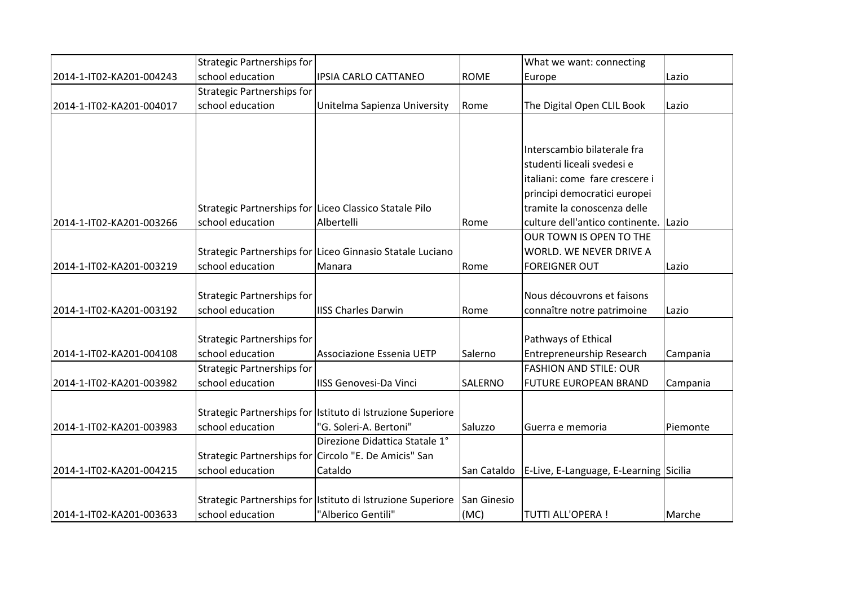|                          | <b>Strategic Partnerships for</b> |                                                             |             | What we want: connecting               |          |
|--------------------------|-----------------------------------|-------------------------------------------------------------|-------------|----------------------------------------|----------|
| 2014-1-IT02-KA201-004243 | school education                  | <b>IPSIA CARLO CATTANEO</b>                                 | <b>ROME</b> | Europe                                 | Lazio    |
|                          | <b>Strategic Partnerships for</b> |                                                             |             |                                        |          |
| 2014-1-IT02-KA201-004017 | school education                  | Unitelma Sapienza University                                | Rome        | The Digital Open CLIL Book             | Lazio    |
|                          |                                   |                                                             |             |                                        |          |
|                          |                                   |                                                             |             |                                        |          |
|                          |                                   |                                                             |             | Interscambio bilaterale fra            |          |
|                          |                                   |                                                             |             | studenti liceali svedesi e             |          |
|                          |                                   |                                                             |             | italiani: come fare crescere i         |          |
|                          |                                   |                                                             |             | principi democratici europei           |          |
|                          |                                   | Strategic Partnerships for Liceo Classico Statale Pilo      |             | tramite la conoscenza delle            |          |
| 2014-1-IT02-KA201-003266 | school education                  | Albertelli                                                  | Rome        | culture dell'antico continente. Lazio  |          |
|                          |                                   |                                                             |             | OUR TOWN IS OPEN TO THE                |          |
|                          |                                   | Strategic Partnerships for Liceo Ginnasio Statale Luciano   |             | WORLD. WE NEVER DRIVE A                |          |
| 2014-1-IT02-KA201-003219 | school education                  | Manara                                                      | Rome        | <b>FOREIGNER OUT</b>                   | Lazio    |
|                          |                                   |                                                             |             |                                        |          |
|                          | Strategic Partnerships for        |                                                             |             | Nous découvrons et faisons             |          |
| 2014-1-IT02-KA201-003192 | school education                  | <b>IISS Charles Darwin</b>                                  | Rome        | connaître notre patrimoine             | Lazio    |
|                          |                                   |                                                             |             |                                        |          |
|                          | Strategic Partnerships for        |                                                             |             | Pathways of Ethical                    |          |
| 2014-1-IT02-KA201-004108 | school education                  | Associazione Essenia UETP                                   | Salerno     | Entrepreneurship Research              | Campania |
|                          | <b>Strategic Partnerships for</b> |                                                             |             | <b>FASHION AND STILE: OUR</b>          |          |
| 2014-1-IT02-KA201-003982 | school education                  | <b>IISS Genovesi-Da Vinci</b>                               | SALERNO     | <b>FUTURE EUROPEAN BRAND</b>           | Campania |
|                          |                                   |                                                             |             |                                        |          |
|                          |                                   | Strategic Partnerships for Istituto di Istruzione Superiore |             |                                        |          |
| 2014-1-IT02-KA201-003983 | school education                  | "G. Soleri-A. Bertoni"                                      | Saluzzo     | Guerra e memoria                       | Piemonte |
|                          |                                   | Direzione Didattica Statale 1°                              |             |                                        |          |
|                          |                                   | Strategic Partnerships for Circolo "E. De Amicis" San       |             |                                        |          |
| 2014-1-IT02-KA201-004215 | school education                  | Cataldo                                                     | San Cataldo | E-Live, E-Language, E-Learning Sicilia |          |
|                          |                                   |                                                             |             |                                        |          |
|                          |                                   | Strategic Partnerships for Istituto di Istruzione Superiore | San Ginesio |                                        |          |
| 2014-1-IT02-KA201-003633 | school education                  | "Alberico Gentili"                                          | (MC)        | <b>TUTTI ALL'OPERA!</b>                | Marche   |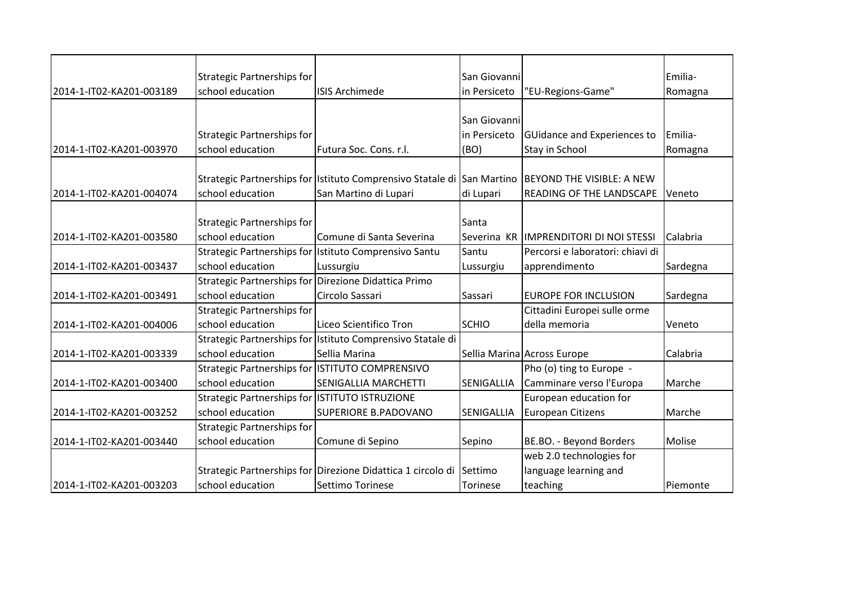|                          | Strategic Partnerships for                     |                                                             | San Giovanni       |                                          | Emilia-  |
|--------------------------|------------------------------------------------|-------------------------------------------------------------|--------------------|------------------------------------------|----------|
| 2014-1-IT02-KA201-003189 | school education                               | <b>ISIS Archimede</b>                                       | in Persiceto       | "EU-Regions-Game"                        | Romagna  |
|                          |                                                |                                                             |                    |                                          |          |
|                          |                                                |                                                             | San Giovanni       |                                          |          |
|                          | Strategic Partnerships for                     |                                                             | in Persiceto       | <b>GUidance and Experiences to</b>       | Emilia-  |
| 2014-1-IT02-KA201-003970 | school education                               | Futura Soc. Cons. r.l.                                      | (BO)               | Stay in School                           | Romagna  |
|                          |                                                |                                                             |                    |                                          |          |
|                          |                                                | Strategic Partnerships for Istituto Comprensivo Statale di  | <b>San Martino</b> | <b>BEYOND THE VISIBLE: A NEW</b>         |          |
| 2014-1-IT02-KA201-004074 | school education                               | San Martino di Lupari                                       | di Lupari          | READING OF THE LANDSCAPE                 | Veneto   |
|                          |                                                |                                                             |                    |                                          |          |
|                          | <b>Strategic Partnerships for</b>              |                                                             | Santa              |                                          |          |
| 2014-1-IT02-KA201-003580 | school education                               | Comune di Santa Severina                                    |                    | Severina KR   IMPRENDITORI DI NOI STESSI | Calabria |
|                          |                                                | Strategic Partnerships for Istituto Comprensivo Santu       | Santu              | Percorsi e laboratori: chiavi di         |          |
| 2014-1-IT02-KA201-003437 | school education                               | Lussurgiu                                                   | Lussurgiu          | apprendimento                            | Sardegna |
|                          |                                                | Strategic Partnerships for Direzione Didattica Primo        |                    |                                          |          |
| 2014-1-IT02-KA201-003491 | school education                               | Circolo Sassari                                             | Sassari            | <b>EUROPE FOR INCLUSION</b>              | Sardegna |
|                          | <b>Strategic Partnerships for</b>              |                                                             |                    | Cittadini Europei sulle orme             |          |
| 2014-1-IT02-KA201-004006 | school education                               | Liceo Scientifico Tron                                      | <b>SCHIO</b>       | della memoria                            | Veneto   |
|                          |                                                | Strategic Partnerships for Istituto Comprensivo Statale di  |                    |                                          |          |
| 2014-1-IT02-KA201-003339 | school education                               | Sellia Marina                                               |                    | Sellia Marina Across Europe              | Calabria |
|                          |                                                | Strategic Partnerships for ISTITUTO COMPRENSIVO             |                    | Pho (o) ting to Europe -                 |          |
| 2014-1-IT02-KA201-003400 | school education                               | <b>SENIGALLIA MARCHETTI</b>                                 | <b>SENIGALLIA</b>  | Camminare verso l'Europa                 | Marche   |
|                          | Strategic Partnerships for ISTITUTO ISTRUZIONE |                                                             |                    | European education for                   |          |
| 2014-1-IT02-KA201-003252 | school education                               | <b>SUPERIORE B.PADOVANO</b>                                 | <b>SENIGALLIA</b>  | <b>European Citizens</b>                 | Marche   |
|                          | <b>Strategic Partnerships for</b>              |                                                             |                    |                                          |          |
| 2014-1-IT02-KA201-003440 | school education                               | Comune di Sepino                                            | Sepino             | BE.BO. - Beyond Borders                  | Molise   |
|                          |                                                |                                                             |                    | web 2.0 technologies for                 |          |
|                          |                                                | Strategic Partnerships for Direzione Didattica 1 circolo di | Settimo            | language learning and                    |          |
| 2014-1-IT02-KA201-003203 | school education                               | Settimo Torinese                                            | Torinese           | teaching                                 | Piemonte |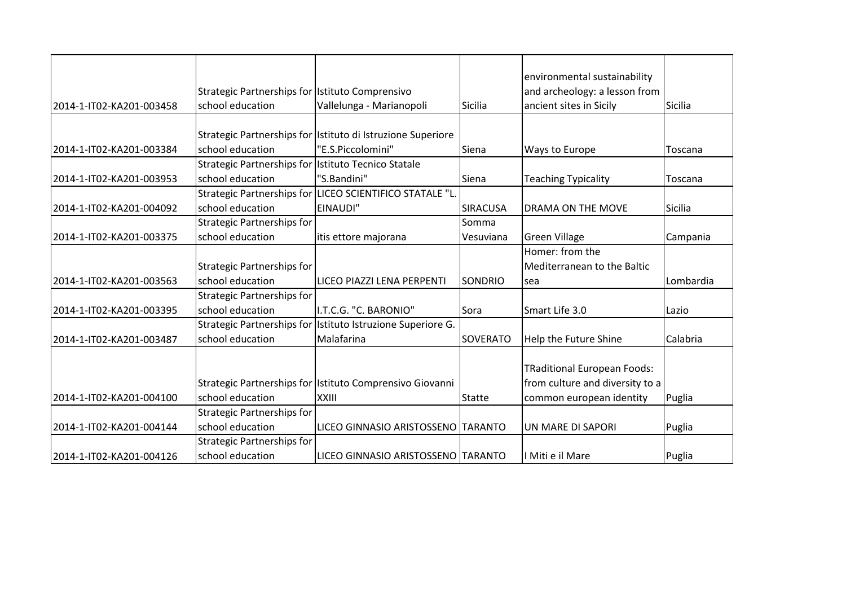|                          |                                                     |                                                             |                 | environmental sustainability       |           |
|--------------------------|-----------------------------------------------------|-------------------------------------------------------------|-----------------|------------------------------------|-----------|
|                          | Strategic Partnerships for Istituto Comprensivo     |                                                             |                 | and archeology: a lesson from      |           |
| 2014-1-IT02-KA201-003458 | school education                                    | Vallelunga - Marianopoli                                    | Sicilia         | ancient sites in Sicily            | Sicilia   |
|                          |                                                     |                                                             |                 |                                    |           |
|                          |                                                     | Strategic Partnerships for Istituto di Istruzione Superiore |                 |                                    |           |
| 2014-1-IT02-KA201-003384 | school education                                    | "E.S.Piccolomini"                                           | Siena           | Ways to Europe                     | Toscana   |
|                          | Strategic Partnerships for Istituto Tecnico Statale |                                                             |                 |                                    |           |
| 2014-1-IT02-KA201-003953 | school education                                    | "S.Bandini"                                                 | Siena           | <b>Teaching Typicality</b>         | Toscana   |
|                          |                                                     | Strategic Partnerships for LICEO SCIENTIFICO STATALE "L.    |                 |                                    |           |
| 2014-1-IT02-KA201-004092 | school education                                    | EINAUDI"                                                    | <b>SIRACUSA</b> | <b>DRAMA ON THE MOVE</b>           | Sicilia   |
|                          | <b>Strategic Partnerships for</b>                   |                                                             | Somma           |                                    |           |
| 2014-1-IT02-KA201-003375 | school education                                    | itis ettore majorana                                        | Vesuviana       | <b>Green Village</b>               | Campania  |
|                          |                                                     |                                                             |                 | Homer: from the                    |           |
|                          | Strategic Partnerships for                          |                                                             |                 | Mediterranean to the Baltic        |           |
| 2014-1-IT02-KA201-003563 | school education                                    | LICEO PIAZZI LENA PERPENTI                                  | <b>SONDRIO</b>  | sea                                | Lombardia |
|                          | <b>Strategic Partnerships for</b>                   |                                                             |                 |                                    |           |
| 2014-1-IT02-KA201-003395 | school education                                    | I.T.C.G. "C. BARONIO"                                       | Sora            | Smart Life 3.0                     | Lazio     |
|                          |                                                     | Strategic Partnerships for Istituto Istruzione Superiore G. |                 |                                    |           |
| 2014-1-IT02-KA201-003487 | school education                                    | Malafarina                                                  | SOVERATO        | Help the Future Shine              | Calabria  |
|                          |                                                     |                                                             |                 |                                    |           |
|                          |                                                     |                                                             |                 | <b>TRaditional European Foods:</b> |           |
|                          |                                                     | Strategic Partnerships for Istituto Comprensivo Giovanni    |                 | from culture and diversity to a    |           |
| 2014-1-IT02-KA201-004100 | school education                                    | <b>XXIII</b>                                                | <b>Statte</b>   | common european identity           | Puglia    |
|                          | <b>Strategic Partnerships for</b>                   |                                                             |                 |                                    |           |
| 2014-1-IT02-KA201-004144 | school education                                    | LICEO GINNASIO ARISTOSSENO TARANTO                          |                 | UN MARE DI SAPORI                  | Puglia    |
|                          | <b>Strategic Partnerships for</b>                   |                                                             |                 |                                    |           |
| 2014-1-IT02-KA201-004126 | school education                                    | LICEO GINNASIO ARISTOSSENO TARANTO                          |                 | I Miti e il Mare                   | Puglia    |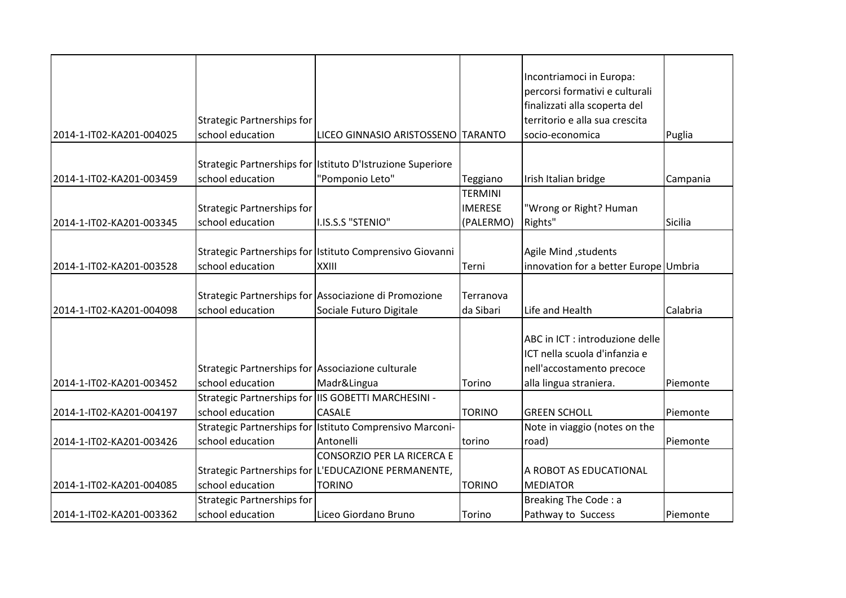|                          |                                                   |                                                            |                | Incontriamoci in Europa:              |          |
|--------------------------|---------------------------------------------------|------------------------------------------------------------|----------------|---------------------------------------|----------|
|                          |                                                   |                                                            |                | percorsi formativi e culturali        |          |
|                          |                                                   |                                                            |                | finalizzati alla scoperta del         |          |
|                          | Strategic Partnerships for                        |                                                            |                | territorio e alla sua crescita        |          |
| 2014-1-IT02-KA201-004025 | school education                                  | LICEO GINNASIO ARISTOSSENO TARANTO                         |                | socio-economica                       | Puglia   |
|                          |                                                   | Strategic Partnerships for Istituto D'Istruzione Superiore |                |                                       |          |
| 2014-1-IT02-KA201-003459 | school education                                  | "Pomponio Leto"                                            | Teggiano       | Irish Italian bridge                  | Campania |
|                          |                                                   |                                                            | TERMINI        |                                       |          |
|                          | Strategic Partnerships for                        |                                                            | <b>IMERESE</b> | "Wrong or Right? Human                |          |
| 2014-1-IT02-KA201-003345 | school education                                  | I.IS.S.S "STENIO"                                          | (PALERMO)      | Rights"                               | Sicilia  |
|                          |                                                   |                                                            |                |                                       |          |
|                          |                                                   | Strategic Partnerships for Istituto Comprensivo Giovanni   |                | Agile Mind, students                  |          |
| 2014-1-IT02-KA201-003528 | school education                                  | XXIII                                                      | Terni          | innovation for a better Europe Umbria |          |
|                          |                                                   |                                                            |                |                                       |          |
|                          |                                                   | Strategic Partnerships for Associazione di Promozione      | Terranova      |                                       |          |
| 2014-1-IT02-KA201-004098 | school education                                  | Sociale Futuro Digitale                                    | da Sibari      | Life and Health                       | Calabria |
|                          |                                                   |                                                            |                |                                       |          |
|                          |                                                   |                                                            |                | ABC in ICT : introduzione delle       |          |
|                          |                                                   |                                                            |                | ICT nella scuola d'infanzia e         |          |
|                          | Strategic Partnerships for Associazione culturale |                                                            |                | nell'accostamento precoce             |          |
| 2014-1-IT02-KA201-003452 | school education                                  | Madr&Lingua                                                | Torino         | alla lingua straniera.                | Piemonte |
|                          |                                                   | Strategic Partnerships for IIS GOBETTI MARCHESINI -        |                |                                       |          |
| 2014-1-IT02-KA201-004197 | school education                                  | <b>CASALE</b>                                              | <b>TORINO</b>  | <b>GREEN SCHOLL</b>                   | Piemonte |
|                          |                                                   | Strategic Partnerships for Istituto Comprensivo Marconi-   |                | Note in viaggio (notes on the         |          |
| 2014-1-IT02-KA201-003426 | school education                                  | Antonelli                                                  | torino         | road)                                 | Piemonte |
|                          |                                                   | <b>CONSORZIO PER LA RICERCA E</b>                          |                |                                       |          |
|                          |                                                   | Strategic Partnerships for L'EDUCAZIONE PERMANENTE,        |                | A ROBOT AS EDUCATIONAL                |          |
| 2014-1-IT02-KA201-004085 | school education                                  | <b>TORINO</b>                                              | <b>TORINO</b>  | <b>MEDIATOR</b>                       |          |
|                          | <b>Strategic Partnerships for</b>                 |                                                            |                | Breaking The Code: a                  |          |
| 2014-1-IT02-KA201-003362 | school education                                  | Liceo Giordano Bruno                                       | Torino         | Pathway to Success                    | Piemonte |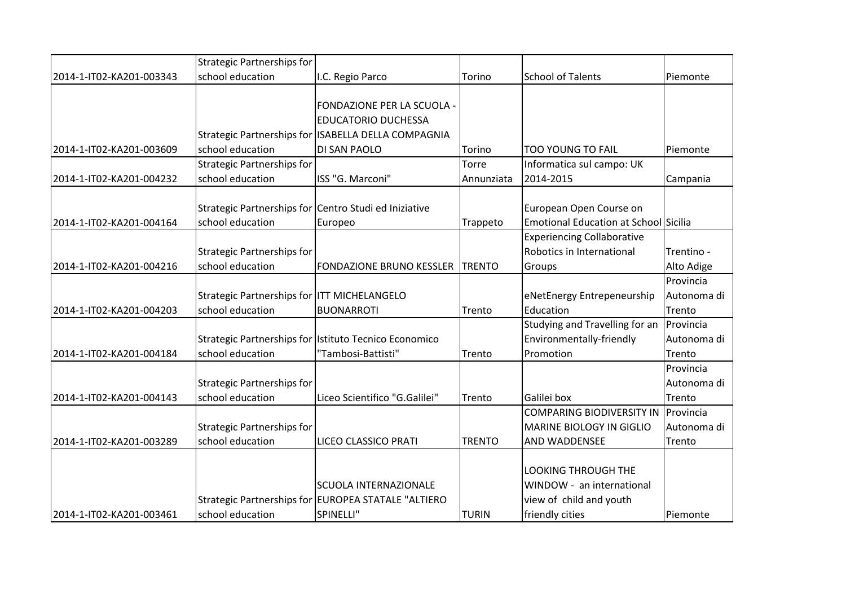|                          | <b>Strategic Partnerships for</b>                     |                                                       |               |                                       |             |
|--------------------------|-------------------------------------------------------|-------------------------------------------------------|---------------|---------------------------------------|-------------|
| 2014-1-IT02-KA201-003343 | school education                                      | I.C. Regio Parco                                      | Torino        | <b>School of Talents</b>              | Piemonte    |
|                          |                                                       |                                                       |               |                                       |             |
|                          |                                                       | FONDAZIONE PER LA SCUOLA -                            |               |                                       |             |
|                          |                                                       | <b>EDUCATORIO DUCHESSA</b>                            |               |                                       |             |
|                          |                                                       | Strategic Partnerships for ISABELLA DELLA COMPAGNIA   |               |                                       |             |
| 2014-1-IT02-KA201-003609 | school education                                      | DI SAN PAOLO                                          | Torino        | <b>TOO YOUNG TO FAIL</b>              | Piemonte    |
|                          | <b>Strategic Partnerships for</b>                     |                                                       | Torre         | Informatica sul campo: UK             |             |
| 2014-1-IT02-KA201-004232 | school education                                      | ISS "G. Marconi"                                      | Annunziata    | 2014-2015                             | Campania    |
|                          |                                                       |                                                       |               |                                       |             |
|                          | Strategic Partnerships for Centro Studi ed Iniziative |                                                       |               | European Open Course on               |             |
| 2014-1-IT02-KA201-004164 | school education                                      | Europeo                                               | Trappeto      | Emotional Education at School Sicilia |             |
|                          |                                                       |                                                       |               | <b>Experiencing Collaborative</b>     |             |
|                          | Strategic Partnerships for                            |                                                       |               | Robotics in International             | Trentino -  |
| 2014-1-IT02-KA201-004216 | school education                                      | <b>FONDAZIONE BRUNO KESSLER</b>                       | <b>TRENTO</b> | Groups                                | Alto Adige  |
|                          |                                                       |                                                       |               |                                       | Provincia   |
|                          | Strategic Partnerships for ITT MICHELANGELO           |                                                       |               | eNetEnergy Entrepeneurship            | Autonoma di |
| 2014-1-IT02-KA201-004203 | school education                                      | <b>BUONARROTI</b>                                     | Trento        | Education                             | Trento      |
|                          |                                                       |                                                       |               | Studying and Travelling for an        | Provincia   |
|                          |                                                       | Strategic Partnerships for Istituto Tecnico Economico |               | Environmentally-friendly              | Autonoma di |
| 2014-1-IT02-KA201-004184 | school education                                      | "Tambosi-Battisti"                                    | Trento        | Promotion                             | Trento      |
|                          |                                                       |                                                       |               |                                       | Provincia   |
|                          | Strategic Partnerships for                            |                                                       |               |                                       | Autonoma di |
| 2014-1-IT02-KA201-004143 | school education                                      | Liceo Scientifico "G.Galilei"                         | Trento        | Galilei box                           | Trento      |
|                          |                                                       |                                                       |               | <b>COMPARING BIODIVERSITY IN</b>      | Provincia   |
|                          | Strategic Partnerships for                            |                                                       |               | <b>MARINE BIOLOGY IN GIGLIO</b>       | Autonoma di |
| 2014-1-IT02-KA201-003289 | school education                                      | LICEO CLASSICO PRATI                                  | <b>TRENTO</b> | AND WADDENSEE                         | Trento      |
|                          |                                                       |                                                       |               |                                       |             |
|                          |                                                       |                                                       |               | <b>LOOKING THROUGH THE</b>            |             |
|                          |                                                       | <b>SCUOLA INTERNAZIONALE</b>                          |               | WINDOW - an international             |             |
|                          |                                                       | Strategic Partnerships for EUROPEA STATALE "ALTIERO   |               | view of child and youth               |             |
| 2014-1-IT02-KA201-003461 | school education                                      | SPINELLI"                                             | <b>TURIN</b>  | friendly cities                       | Piemonte    |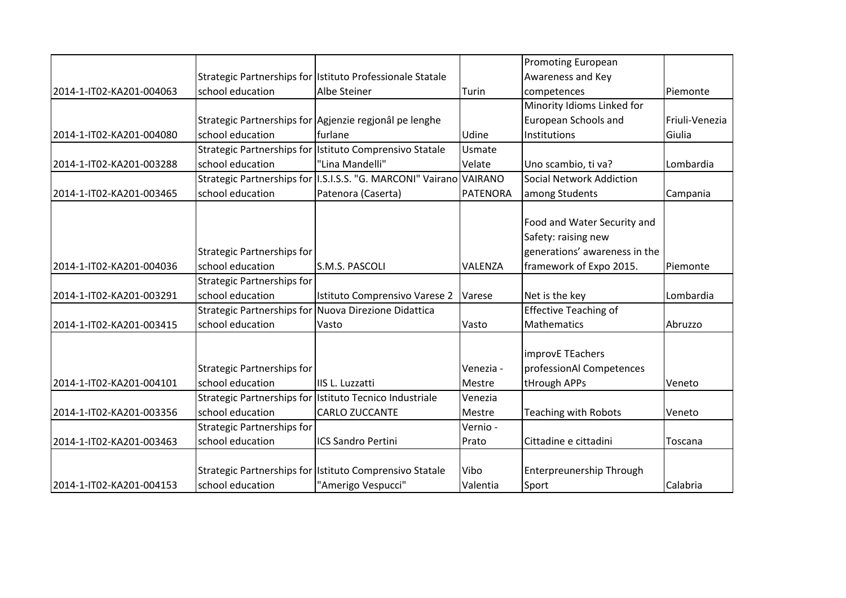|                          |                                   |                                                                    |                 | <b>Promoting European</b>       |                |
|--------------------------|-----------------------------------|--------------------------------------------------------------------|-----------------|---------------------------------|----------------|
|                          |                                   | Strategic Partnerships for Istituto Professionale Statale          |                 | Awareness and Key               |                |
| 2014-1-IT02-KA201-004063 | school education                  | Albe Steiner                                                       | Turin           | competences                     | Piemonte       |
|                          |                                   |                                                                    |                 | Minority Idioms Linked for      |                |
|                          |                                   | Strategic Partnerships for Agjenzie regionâl pe lenghe             |                 | European Schools and            | Friuli-Venezia |
| 2014-1-IT02-KA201-004080 | school education                  | furlane                                                            | Udine           | Institutions                    | Giulia         |
|                          |                                   | Strategic Partnerships for Istituto Comprensivo Statale            | Usmate          |                                 |                |
| 2014-1-IT02-KA201-003288 | school education                  | "Lina Mandelli"                                                    | Velate          | Uno scambio, ti va?             | Lombardia      |
|                          |                                   | Strategic Partnerships for I.S.I.S.S. "G. MARCONI" Vairano VAIRANO |                 | <b>Social Network Addiction</b> |                |
| 2014-1-IT02-KA201-003465 | school education                  | Patenora (Caserta)                                                 | <b>PATENORA</b> | among Students                  | Campania       |
|                          |                                   |                                                                    |                 |                                 |                |
|                          |                                   |                                                                    |                 | Food and Water Security and     |                |
|                          |                                   |                                                                    |                 | Safety: raising new             |                |
|                          | <b>Strategic Partnerships for</b> |                                                                    |                 | generations' awareness in the   |                |
| 2014-1-IT02-KA201-004036 | school education                  | S.M.S. PASCOLI                                                     | VALENZA         | framework of Expo 2015.         | Piemonte       |
|                          | <b>Strategic Partnerships for</b> |                                                                    |                 |                                 |                |
| 2014-1-IT02-KA201-003291 | school education                  | Istituto Comprensivo Varese 2                                      | Varese          | Net is the key                  | Lombardia      |
|                          |                                   | Strategic Partnerships for Nuova Direzione Didattica               |                 | <b>Effective Teaching of</b>    |                |
| 2014-1-IT02-KA201-003415 | school education                  | Vasto                                                              | Vasto           | <b>Mathematics</b>              | Abruzzo        |
|                          |                                   |                                                                    |                 |                                 |                |
|                          |                                   |                                                                    |                 | improvE TEachers                |                |
|                          | <b>Strategic Partnerships for</b> |                                                                    | Venezia -       | professionAl Competences        |                |
| 2014-1-IT02-KA201-004101 | school education                  | IIS L. Luzzatti                                                    | Mestre          | tHrough APPs                    | Veneto         |
|                          |                                   | Strategic Partnerships for Istituto Tecnico Industriale            | Venezia         |                                 |                |
| 2014-1-IT02-KA201-003356 | school education                  | <b>CARLO ZUCCANTE</b>                                              | Mestre          | <b>Teaching with Robots</b>     | Veneto         |
|                          | <b>Strategic Partnerships for</b> |                                                                    | Vernio -        |                                 |                |
| 2014-1-IT02-KA201-003463 | school education                  | <b>ICS Sandro Pertini</b>                                          | Prato           | Cittadine e cittadini           | Toscana        |
|                          |                                   |                                                                    |                 |                                 |                |
|                          |                                   | Strategic Partnerships for Istituto Comprensivo Statale            | Vibo            | Enterpreunership Through        |                |
| 2014-1-IT02-KA201-004153 | school education                  | "Amerigo Vespucci"                                                 | Valentia        | Sport                           | Calabria       |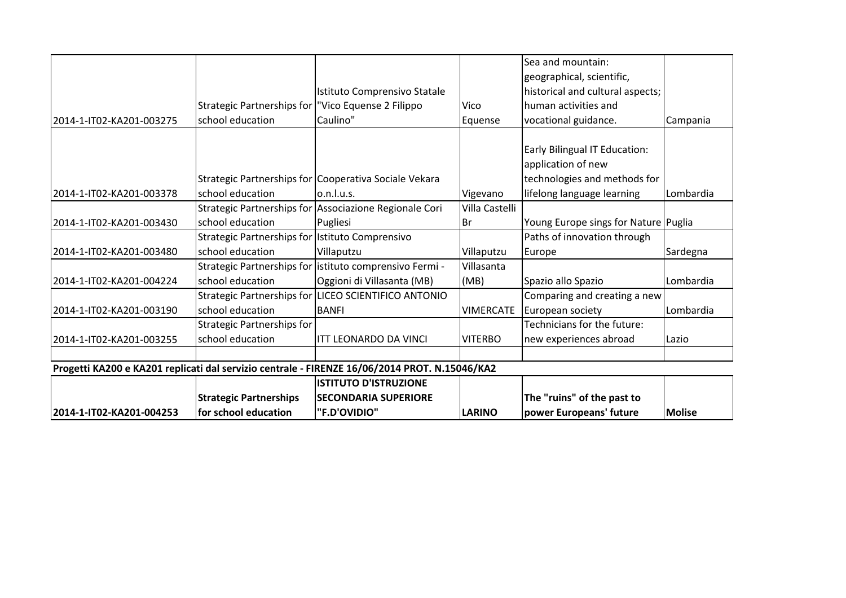|                          | <b>Strategic Partnerships</b>                        | <b>ISTITUTO D'ISTRUZIONE</b>                                                                  |                  | The "ruins" of the past to                          |           |
|--------------------------|------------------------------------------------------|-----------------------------------------------------------------------------------------------|------------------|-----------------------------------------------------|-----------|
|                          |                                                      | Progetti KA200 e KA201 replicati dal servizio centrale - FIRENZE 16/06/2014 PROT. N.15046/KA2 |                  |                                                     |           |
|                          |                                                      |                                                                                               |                  |                                                     |           |
| 2014-1-IT02-KA201-003255 | school education                                     | <b>ITT LEONARDO DA VINCI</b>                                                                  | <b>VITERBO</b>   | new experiences abroad                              | Lazio     |
|                          | <b>Strategic Partnerships for</b>                    |                                                                                               |                  | Technicians for the future:                         |           |
| 2014-1-IT02-KA201-003190 | school education                                     | <b>BANFI</b>                                                                                  | <b>VIMERCATE</b> | European society                                    | Lombardia |
|                          |                                                      | Strategic Partnerships for LICEO SCIENTIFICO ANTONIO                                          |                  | Comparing and creating a new                        |           |
| 2014-1-IT02-KA201-004224 | school education                                     | Oggioni di Villasanta (MB)                                                                    | (MB)             | Spazio allo Spazio                                  | Lombardia |
|                          |                                                      | Strategic Partnerships for listituto comprensivo Fermi -                                      | Villasanta       |                                                     |           |
| 2014-1-IT02-KA201-003480 | school education                                     | Villaputzu                                                                                    | Villaputzu       | Europe                                              | Sardegna  |
|                          | Strategic Partnerships for Istituto Comprensivo      |                                                                                               |                  | Paths of innovation through                         |           |
| 2014-1-IT02-KA201-003430 | school education                                     | Pugliesi                                                                                      | lBr              | Young Europe sings for Nature Puglia                |           |
|                          |                                                      | Strategic Partnerships for Associazione Regionale Cori                                        | Villa Castelli   |                                                     |           |
| 2014-1-IT02-KA201-003378 | school education                                     | o.n.l.u.s.                                                                                    | Vigevano         | lifelong language learning                          | Lombardia |
|                          |                                                      | Strategic Partnerships for Cooperativa Sociale Vekara                                         |                  | technologies and methods for                        |           |
|                          |                                                      |                                                                                               |                  | Early Bilingual IT Education:<br>application of new |           |
| 2014-1-IT02-KA201-003275 | school education                                     | Caulino"                                                                                      | Equense          | vocational guidance.                                | Campania  |
|                          | Strategic Partnerships for   "Vico Equense 2 Filippo |                                                                                               | Vico             | human activities and                                |           |
|                          |                                                      | Istituto Comprensivo Statale                                                                  |                  | historical and cultural aspects;                    |           |
|                          |                                                      |                                                                                               |                  | geographical, scientific,                           |           |
|                          |                                                      |                                                                                               |                  | Sea and mountain:                                   |           |